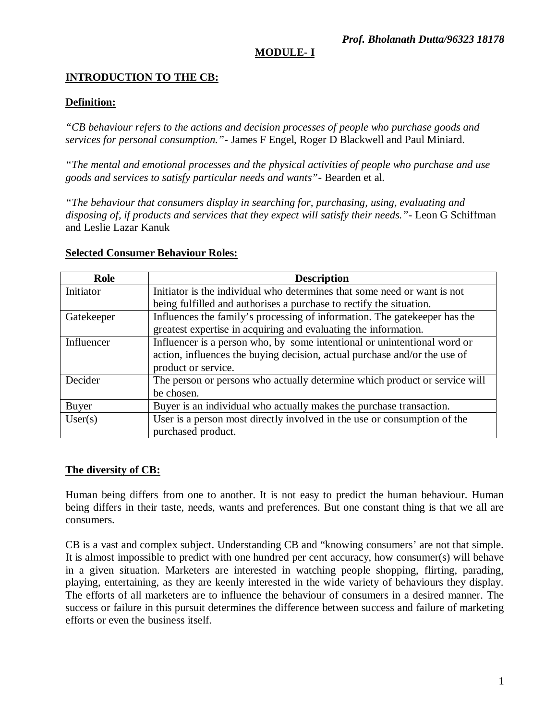# **MODULE- I**

# **INTRODUCTION TO THE CB:**

# **Definition:**

*"CB behaviour refers to the actions and decision processes of people who purchase goods and services for personal consumption."-* James F Engel, Roger D Blackwell and Paul Miniard.

*"The mental and emotional processes and the physical activities of people who purchase and use goods and services to satisfy particular needs and wants"-* Bearden et al.

*"The behaviour that consumers display in searching for, purchasing, using, evaluating and disposing of, if products and services that they expect will satisfy their needs."*- Leon G Schiffman and Leslie Lazar Kanuk

### **Selected Consumer Behaviour Roles:**

| Role       | <b>Description</b>                                                         |  |
|------------|----------------------------------------------------------------------------|--|
| Initiator  | Initiator is the individual who determines that some need or want is not   |  |
|            | being fulfilled and authorises a purchase to rectify the situation.        |  |
| Gatekeeper | Influences the family's processing of information. The gatekeeper has the  |  |
|            | greatest expertise in acquiring and evaluating the information.            |  |
| Influencer | Influencer is a person who, by some intentional or unintentional word or   |  |
|            | action, influences the buying decision, actual purchase and/or the use of  |  |
|            | product or service.                                                        |  |
| Decider    | The person or persons who actually determine which product or service will |  |
|            | be chosen.                                                                 |  |
| Buyer      | Buyer is an individual who actually makes the purchase transaction.        |  |
| User(s)    | User is a person most directly involved in the use or consumption of the   |  |
|            | purchased product.                                                         |  |

### **The diversity of CB:**

Human being differs from one to another. It is not easy to predict the human behaviour. Human being differs in their taste, needs, wants and preferences. But one constant thing is that we all are consumers.

CB is a vast and complex subject. Understanding CB and "knowing consumers' are not that simple. It is almost impossible to predict with one hundred per cent accuracy, how consumer(s) will behave in a given situation. Marketers are interested in watching people shopping, flirting, parading, playing, entertaining, as they are keenly interested in the wide variety of behaviours they display. The efforts of all marketers are to influence the behaviour of consumers in a desired manner. The success or failure in this pursuit determines the difference between success and failure of marketing efforts or even the business itself.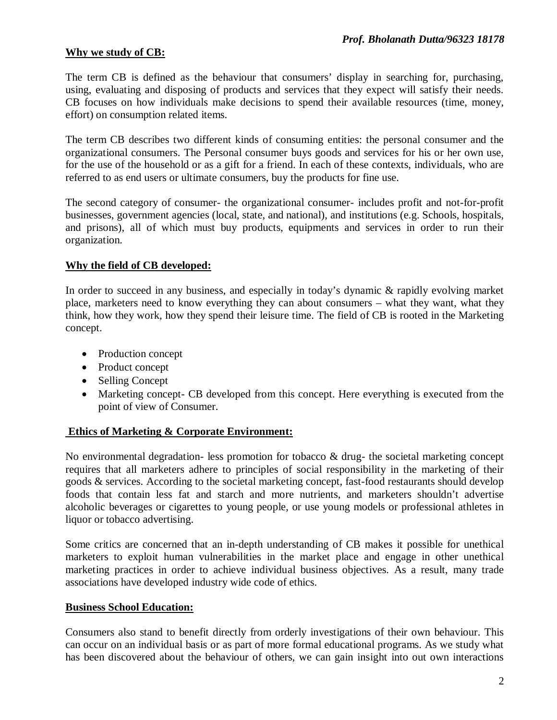## **Why we study of CB:**

The term CB is defined as the behaviour that consumers' display in searching for, purchasing, using, evaluating and disposing of products and services that they expect will satisfy their needs. CB focuses on how individuals make decisions to spend their available resources (time, money, effort) on consumption related items.

The term CB describes two different kinds of consuming entities: the personal consumer and the organizational consumers. The Personal consumer buys goods and services for his or her own use, for the use of the household or as a gift for a friend. In each of these contexts, individuals, who are referred to as end users or ultimate consumers, buy the products for fine use.

The second category of consumer- the organizational consumer- includes profit and not-for-profit businesses, government agencies (local, state, and national), and institutions (e.g. Schools, hospitals, and prisons), all of which must buy products, equipments and services in order to run their organization.

## **Why the field of CB developed:**

In order to succeed in any business, and especially in today's dynamic & rapidly evolving market place, marketers need to know everything they can about consumers – what they want, what they think, how they work, how they spend their leisure time. The field of CB is rooted in the Marketing concept.

- Production concept
- Product concept
- Selling Concept
- Marketing concept- CB developed from this concept. Here everything is executed from the point of view of Consumer.

### **Ethics of Marketing & Corporate Environment:**

No environmental degradation-less promotion for tobacco  $\&$  drug- the societal marketing concept requires that all marketers adhere to principles of social responsibility in the marketing of their goods & services. According to the societal marketing concept, fast-food restaurants should develop foods that contain less fat and starch and more nutrients, and marketers shouldn't advertise alcoholic beverages or cigarettes to young people, or use young models or professional athletes in liquor or tobacco advertising.

Some critics are concerned that an in-depth understanding of CB makes it possible for unethical marketers to exploit human vulnerabilities in the market place and engage in other unethical marketing practices in order to achieve individual business objectives. As a result, many trade associations have developed industry wide code of ethics.

### **Business School Education:**

Consumers also stand to benefit directly from orderly investigations of their own behaviour. This can occur on an individual basis or as part of more formal educational programs. As we study what has been discovered about the behaviour of others, we can gain insight into out own interactions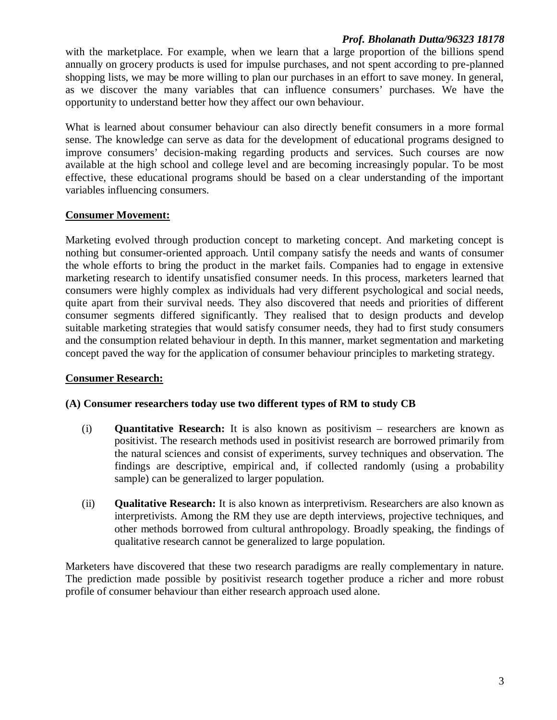# *Prof. Bholanath Dutta/96323 18178*

with the marketplace. For example, when we learn that a large proportion of the billions spend annually on grocery products is used for impulse purchases, and not spent according to pre-planned shopping lists, we may be more willing to plan our purchases in an effort to save money. In general, as we discover the many variables that can influence consumers' purchases. We have the opportunity to understand better how they affect our own behaviour.

What is learned about consumer behaviour can also directly benefit consumers in a more formal sense. The knowledge can serve as data for the development of educational programs designed to improve consumers' decision-making regarding products and services. Such courses are now available at the high school and college level and are becoming increasingly popular. To be most effective, these educational programs should be based on a clear understanding of the important variables influencing consumers.

## **Consumer Movement:**

Marketing evolved through production concept to marketing concept. And marketing concept is nothing but consumer-oriented approach. Until company satisfy the needs and wants of consumer the whole efforts to bring the product in the market fails. Companies had to engage in extensive marketing research to identify unsatisfied consumer needs. In this process, marketers learned that consumers were highly complex as individuals had very different psychological and social needs, quite apart from their survival needs. They also discovered that needs and priorities of different consumer segments differed significantly. They realised that to design products and develop suitable marketing strategies that would satisfy consumer needs, they had to first study consumers and the consumption related behaviour in depth. In this manner, market segmentation and marketing concept paved the way for the application of consumer behaviour principles to marketing strategy.

# **Consumer Research:**

### **(A) Consumer researchers today use two different types of RM to study CB**

- (i) **Quantitative Research:** It is also known as positivism researchers are known as positivist. The research methods used in positivist research are borrowed primarily from the natural sciences and consist of experiments, survey techniques and observation. The findings are descriptive, empirical and, if collected randomly (using a probability sample) can be generalized to larger population.
- (ii) **Qualitative Research:** It is also known as interpretivism. Researchers are also known as interpretivists. Among the RM they use are depth interviews, projective techniques, and other methods borrowed from cultural anthropology. Broadly speaking, the findings of qualitative research cannot be generalized to large population.

Marketers have discovered that these two research paradigms are really complementary in nature. The prediction made possible by positivist research together produce a richer and more robust profile of consumer behaviour than either research approach used alone.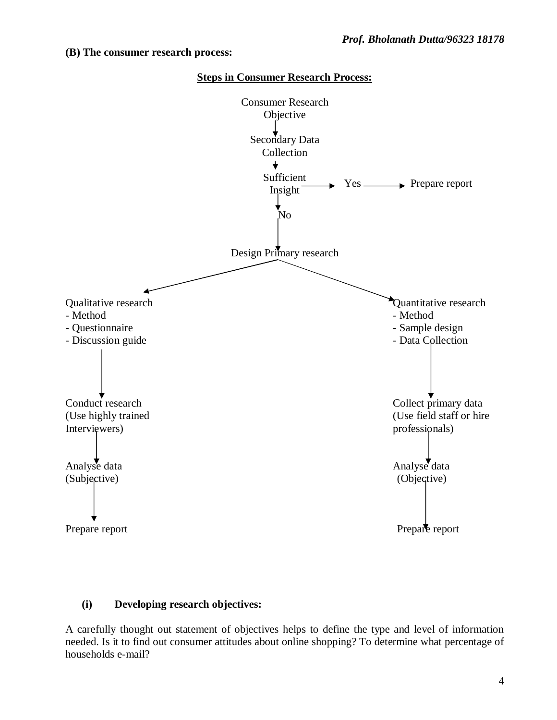

# **(i) Developing research objectives:**

A carefully thought out statement of objectives helps to define the type and level of information needed. Is it to find out consumer attitudes about online shopping? To determine what percentage of households e-mail?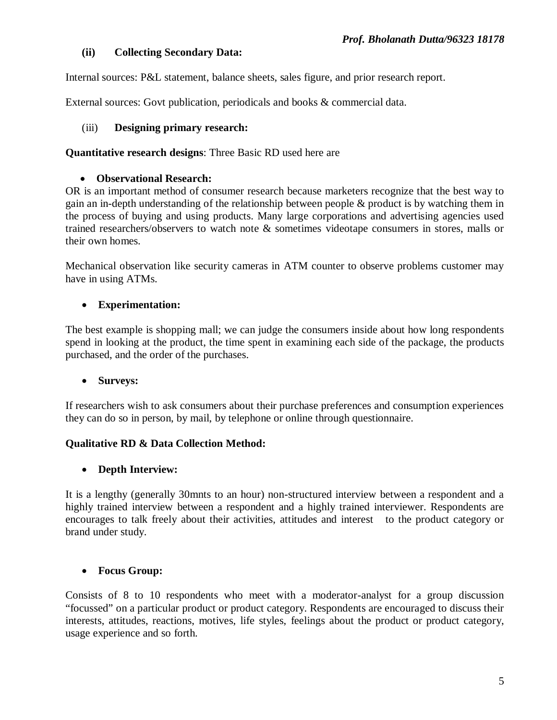## **(ii) Collecting Secondary Data:**

Internal sources: P&L statement, balance sheets, sales figure, and prior research report.

External sources: Govt publication, periodicals and books & commercial data.

## (iii) **Designing primary research:**

**Quantitative research designs**: Three Basic RD used here are

### **Observational Research:**

OR is an important method of consumer research because marketers recognize that the best way to gain an in-depth understanding of the relationship between people & product is by watching them in the process of buying and using products. Many large corporations and advertising agencies used trained researchers/observers to watch note & sometimes videotape consumers in stores, malls or their own homes.

Mechanical observation like security cameras in ATM counter to observe problems customer may have in using ATMs.

## **Experimentation:**

The best example is shopping mall; we can judge the consumers inside about how long respondents spend in looking at the product, the time spent in examining each side of the package, the products purchased, and the order of the purchases.

### **Surveys:**

If researchers wish to ask consumers about their purchase preferences and consumption experiences they can do so in person, by mail, by telephone or online through questionnaire.

### **Qualitative RD & Data Collection Method:**

# **Depth Interview:**

It is a lengthy (generally 30mnts to an hour) non-structured interview between a respondent and a highly trained interview between a respondent and a highly trained interviewer. Respondents are encourages to talk freely about their activities, attitudes and interest to the product category or brand under study.

# **Focus Group:**

Consists of 8 to 10 respondents who meet with a moderator-analyst for a group discussion "focussed" on a particular product or product category. Respondents are encouraged to discuss their interests, attitudes, reactions, motives, life styles, feelings about the product or product category, usage experience and so forth.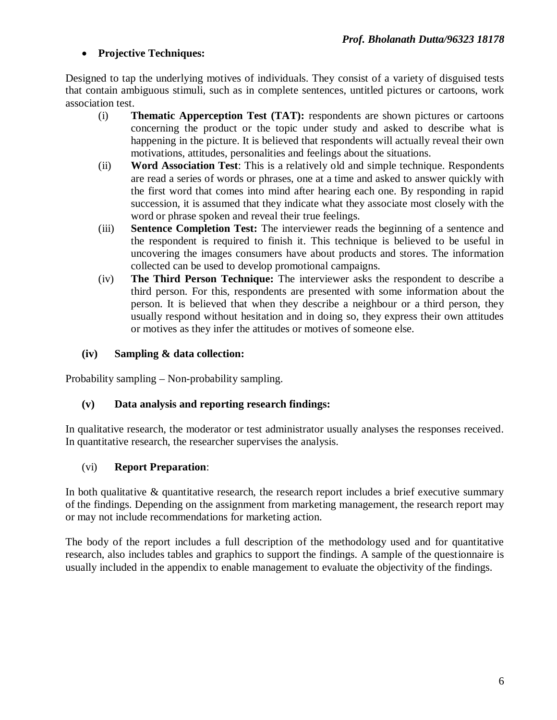# **Projective Techniques:**

Designed to tap the underlying motives of individuals. They consist of a variety of disguised tests that contain ambiguous stimuli, such as in complete sentences, untitled pictures or cartoons, work association test.

- (i) **Thematic Apperception Test (TAT):** respondents are shown pictures or cartoons concerning the product or the topic under study and asked to describe what is happening in the picture. It is believed that respondents will actually reveal their own motivations, attitudes, personalities and feelings about the situations.
- (ii) **Word Association Test**: This is a relatively old and simple technique. Respondents are read a series of words or phrases, one at a time and asked to answer quickly with the first word that comes into mind after hearing each one. By responding in rapid succession, it is assumed that they indicate what they associate most closely with the word or phrase spoken and reveal their true feelings.
- (iii) **Sentence Completion Test:** The interviewer reads the beginning of a sentence and the respondent is required to finish it. This technique is believed to be useful in uncovering the images consumers have about products and stores. The information collected can be used to develop promotional campaigns.
- (iv) **The Third Person Technique:** The interviewer asks the respondent to describe a third person. For this, respondents are presented with some information about the person. It is believed that when they describe a neighbour or a third person, they usually respond without hesitation and in doing so, they express their own attitudes or motives as they infer the attitudes or motives of someone else.

# **(iv) Sampling & data collection:**

Probability sampling – Non-probability sampling.

# **(v) Data analysis and reporting research findings:**

In qualitative research, the moderator or test administrator usually analyses the responses received. In quantitative research, the researcher supervises the analysis.

# (vi) **Report Preparation**:

In both qualitative  $\&$  quantitative research, the research report includes a brief executive summary of the findings. Depending on the assignment from marketing management, the research report may or may not include recommendations for marketing action.

The body of the report includes a full description of the methodology used and for quantitative research, also includes tables and graphics to support the findings. A sample of the questionnaire is usually included in the appendix to enable management to evaluate the objectivity of the findings.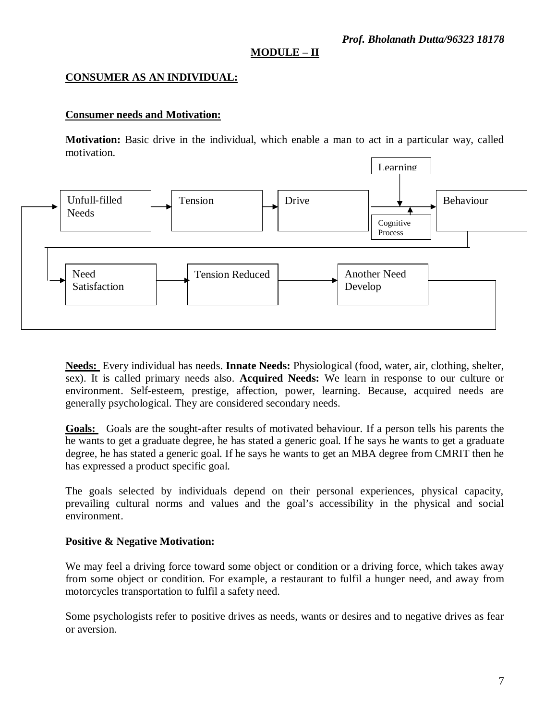# **MODULE – II**

# **CONSUMER AS AN INDIVIDUAL:**

### **Consumer needs and Motivation:**

**Motivation:** Basic drive in the individual, which enable a man to act in a particular way, called motivation.



**Needs:** Every individual has needs. **Innate Needs:** Physiological (food, water, air, clothing, shelter, sex). It is called primary needs also. **Acquired Needs:** We learn in response to our culture or environment. Self-esteem, prestige, affection, power, learning. Because, acquired needs are generally psychological. They are considered secondary needs.

**Goals:** Goals are the sought-after results of motivated behaviour. If a person tells his parents the he wants to get a graduate degree, he has stated a generic goal. If he says he wants to get a graduate degree, he has stated a generic goal. If he says he wants to get an MBA degree from CMRIT then he has expressed a product specific goal.

The goals selected by individuals depend on their personal experiences, physical capacity, prevailing cultural norms and values and the goal's accessibility in the physical and social environment.

### **Positive & Negative Motivation:**

We may feel a driving force toward some object or condition or a driving force, which takes away from some object or condition. For example, a restaurant to fulfil a hunger need, and away from motorcycles transportation to fulfil a safety need.

Some psychologists refer to positive drives as needs, wants or desires and to negative drives as fear or aversion.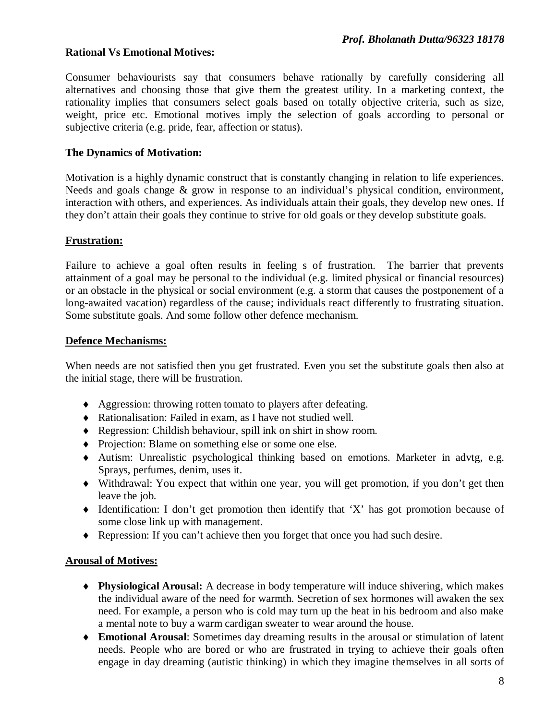## **Rational Vs Emotional Motives:**

Consumer behaviourists say that consumers behave rationally by carefully considering all alternatives and choosing those that give them the greatest utility. In a marketing context, the rationality implies that consumers select goals based on totally objective criteria, such as size, weight, price etc. Emotional motives imply the selection of goals according to personal or subjective criteria (e.g. pride, fear, affection or status).

### **The Dynamics of Motivation:**

Motivation is a highly dynamic construct that is constantly changing in relation to life experiences. Needs and goals change & grow in response to an individual's physical condition, environment, interaction with others, and experiences. As individuals attain their goals, they develop new ones. If they don't attain their goals they continue to strive for old goals or they develop substitute goals.

### **Frustration:**

Failure to achieve a goal often results in feeling s of frustration. The barrier that prevents attainment of a goal may be personal to the individual (e.g. limited physical or financial resources) or an obstacle in the physical or social environment (e.g. a storm that causes the postponement of a long-awaited vacation) regardless of the cause; individuals react differently to frustrating situation. Some substitute goals. And some follow other defence mechanism.

### **Defence Mechanisms:**

When needs are not satisfied then you get frustrated. Even you set the substitute goals then also at the initial stage, there will be frustration.

- Aggression: throwing rotten tomato to players after defeating.
- Rationalisation: Failed in exam, as I have not studied well.
- Regression: Childish behaviour, spill ink on shirt in show room.
- Projection: Blame on something else or some one else.
- Autism: Unrealistic psychological thinking based on emotions. Marketer in advtg, e.g. Sprays, perfumes, denim, uses it.
- Withdrawal: You expect that within one year, you will get promotion, if you don't get then leave the job.
- Identification: I don't get promotion then identify that 'X' has got promotion because of some close link up with management.
- Repression: If you can't achieve then you forget that once you had such desire.

### **Arousal of Motives:**

- **Physiological Arousal:** A decrease in body temperature will induce shivering, which makes the individual aware of the need for warmth. Secretion of sex hormones will awaken the sex need. For example, a person who is cold may turn up the heat in his bedroom and also make a mental note to buy a warm cardigan sweater to wear around the house.
- **Emotional Arousal**: Sometimes day dreaming results in the arousal or stimulation of latent needs. People who are bored or who are frustrated in trying to achieve their goals often engage in day dreaming (autistic thinking) in which they imagine themselves in all sorts of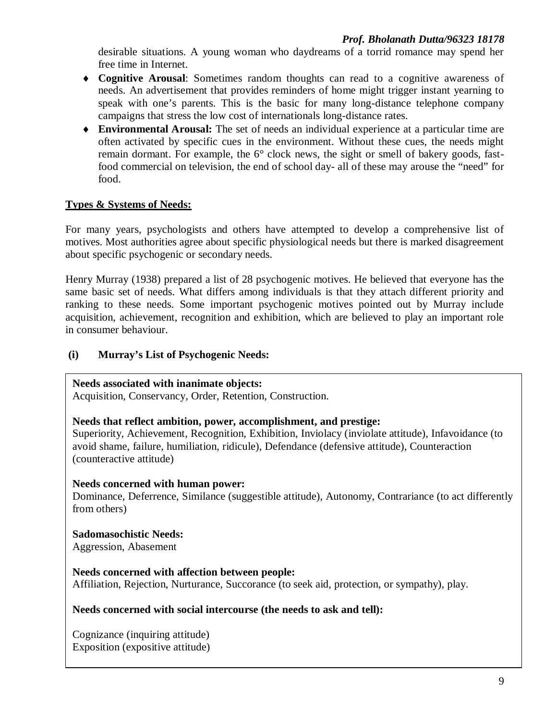desirable situations. A young woman who daydreams of a torrid romance may spend her free time in Internet.

- **Cognitive Arousal**: Sometimes random thoughts can read to a cognitive awareness of needs. An advertisement that provides reminders of home might trigger instant yearning to speak with one's parents. This is the basic for many long-distance telephone company campaigns that stress the low cost of internationals long-distance rates.
- **Environmental Arousal:** The set of needs an individual experience at a particular time are often activated by specific cues in the environment. Without these cues, the needs might remain dormant. For example, the 6° clock news, the sight or smell of bakery goods, fastfood commercial on television, the end of school day- all of these may arouse the "need" for food.

# **Types & Systems of Needs:**

For many years, psychologists and others have attempted to develop a comprehensive list of motives. Most authorities agree about specific physiological needs but there is marked disagreement about specific psychogenic or secondary needs.

Henry Murray (1938) prepared a list of 28 psychogenic motives. He believed that everyone has the same basic set of needs. What differs among individuals is that they attach different priority and ranking to these needs. Some important psychogenic motives pointed out by Murray include acquisition, achievement, recognition and exhibition, which are believed to play an important role in consumer behaviour.

## **(i) Murray's List of Psychogenic Needs:**

### **Needs associated with inanimate objects:**

Acquisition, Conservancy, Order, Retention, Construction.

### **Needs that reflect ambition, power, accomplishment, and prestige:**

Superiority, Achievement, Recognition, Exhibition, Inviolacy (inviolate attitude), Infavoidance (to avoid shame, failure, humiliation, ridicule), Defendance (defensive attitude), Counteraction (counteractive attitude)

### **Needs concerned with human power:**

Dominance, Deferrence, Similance (suggestible attitude), Autonomy, Contrariance (to act differently from others)

### **Sadomasochistic Needs:** Aggression, Abasement

**Needs concerned with affection between people:** Affiliation, Rejection, Nurturance, Succorance (to seek aid, protection, or sympathy), play.

### **Needs concerned with social intercourse (the needs to ask and tell):**

Cognizance (inquiring attitude) Exposition (expositive attitude)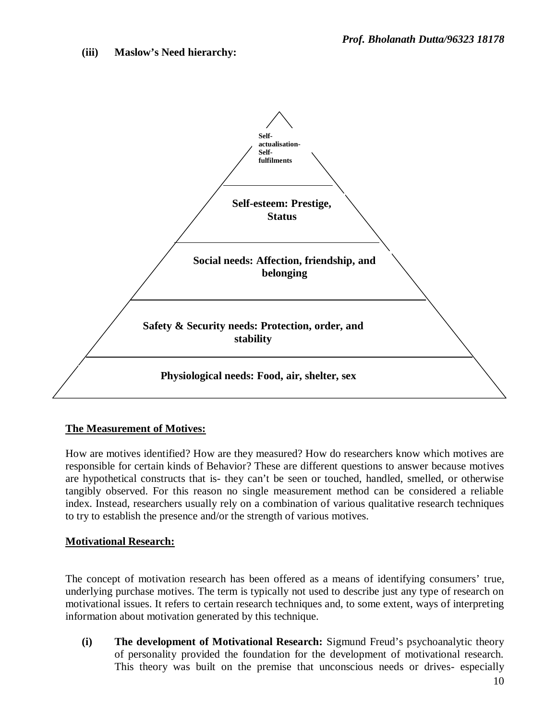**(iii) Maslow's Need hierarchy:**



# **The Measurement of Motives:**

How are motives identified? How are they measured? How do researchers know which motives are responsible for certain kinds of Behavior? These are different questions to answer because motives are hypothetical constructs that is- they can't be seen or touched, handled, smelled, or otherwise tangibly observed. For this reason no single measurement method can be considered a reliable index. Instead, researchers usually rely on a combination of various qualitative research techniques to try to establish the presence and/or the strength of various motives.

# **Motivational Research:**

The concept of motivation research has been offered as a means of identifying consumers' true, underlying purchase motives. The term is typically not used to describe just any type of research on motivational issues. It refers to certain research techniques and, to some extent, ways of interpreting information about motivation generated by this technique.

**(i) The development of Motivational Research:** Sigmund Freud's psychoanalytic theory of personality provided the foundation for the development of motivational research. This theory was built on the premise that unconscious needs or drives- especially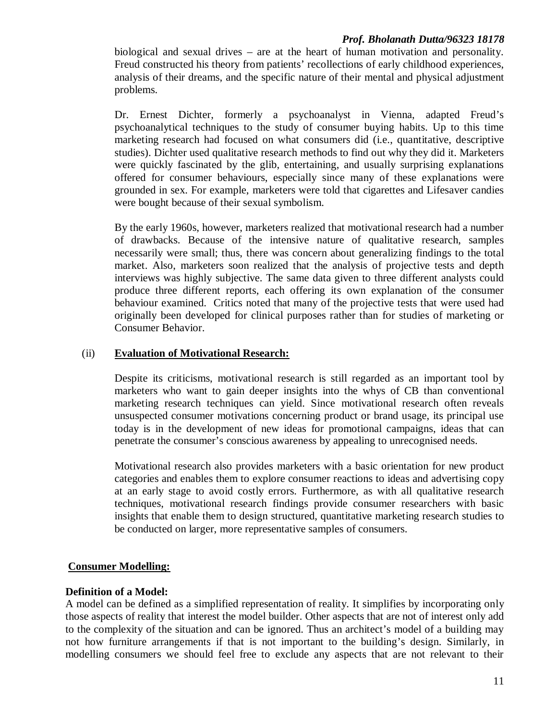# *Prof. Bholanath Dutta/96323 18178*

biological and sexual drives – are at the heart of human motivation and personality. Freud constructed his theory from patients' recollections of early childhood experiences, analysis of their dreams, and the specific nature of their mental and physical adjustment problems.

Dr. Ernest Dichter, formerly a psychoanalyst in Vienna, adapted Freud's psychoanalytical techniques to the study of consumer buying habits. Up to this time marketing research had focused on what consumers did (i.e., quantitative, descriptive studies). Dichter used qualitative research methods to find out why they did it. Marketers were quickly fascinated by the glib, entertaining, and usually surprising explanations offered for consumer behaviours, especially since many of these explanations were grounded in sex. For example, marketers were told that cigarettes and Lifesaver candies were bought because of their sexual symbolism.

By the early 1960s, however, marketers realized that motivational research had a number of drawbacks. Because of the intensive nature of qualitative research, samples necessarily were small; thus, there was concern about generalizing findings to the total market. Also, marketers soon realized that the analysis of projective tests and depth interviews was highly subjective. The same data given to three different analysts could produce three different reports, each offering its own explanation of the consumer behaviour examined. Critics noted that many of the projective tests that were used had originally been developed for clinical purposes rather than for studies of marketing or Consumer Behavior.

### (ii) **Evaluation of Motivational Research:**

Despite its criticisms, motivational research is still regarded as an important tool by marketers who want to gain deeper insights into the whys of CB than conventional marketing research techniques can yield. Since motivational research often reveals unsuspected consumer motivations concerning product or brand usage, its principal use today is in the development of new ideas for promotional campaigns, ideas that can penetrate the consumer's conscious awareness by appealing to unrecognised needs.

Motivational research also provides marketers with a basic orientation for new product categories and enables them to explore consumer reactions to ideas and advertising copy at an early stage to avoid costly errors. Furthermore, as with all qualitative research techniques, motivational research findings provide consumer researchers with basic insights that enable them to design structured, quantitative marketing research studies to be conducted on larger, more representative samples of consumers.

### **Consumer Modelling:**

### **Definition of a Model:**

A model can be defined as a simplified representation of reality. It simplifies by incorporating only those aspects of reality that interest the model builder. Other aspects that are not of interest only add to the complexity of the situation and can be ignored. Thus an architect's model of a building may not how furniture arrangements if that is not important to the building's design. Similarly, in modelling consumers we should feel free to exclude any aspects that are not relevant to their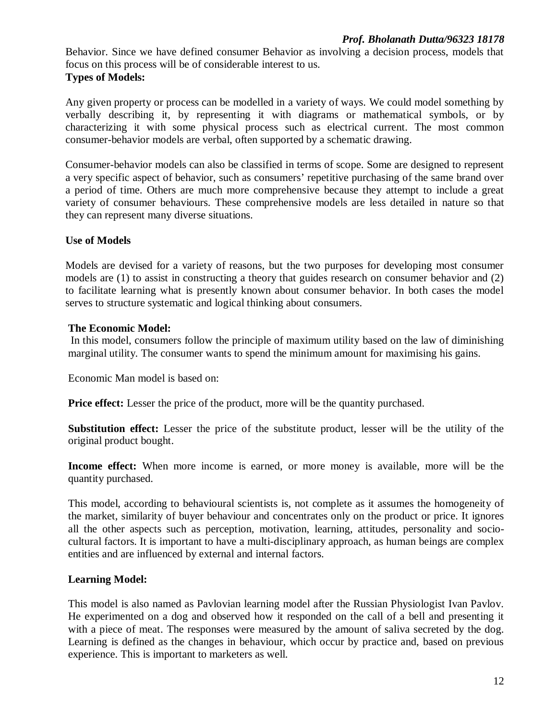Behavior. Since we have defined consumer Behavior as involving a decision process, models that focus on this process will be of considerable interest to us. **Types of Models:**

Any given property or process can be modelled in a variety of ways. We could model something by verbally describing it, by representing it with diagrams or mathematical symbols, or by characterizing it with some physical process such as electrical current. The most common consumer-behavior models are verbal, often supported by a schematic drawing.

Consumer-behavior models can also be classified in terms of scope. Some are designed to represent a very specific aspect of behavior, such as consumers' repetitive purchasing of the same brand over a period of time. Others are much more comprehensive because they attempt to include a great variety of consumer behaviours. These comprehensive models are less detailed in nature so that they can represent many diverse situations.

# **Use of Models**

Models are devised for a variety of reasons, but the two purposes for developing most consumer models are (1) to assist in constructing a theory that guides research on consumer behavior and (2) to facilitate learning what is presently known about consumer behavior. In both cases the model serves to structure systematic and logical thinking about consumers.

### **The Economic Model:**

In this model, consumers follow the principle of maximum utility based on the law of diminishing marginal utility. The consumer wants to spend the minimum amount for maximising his gains.

Economic Man model is based on:

**Price effect:** Lesser the price of the product, more will be the quantity purchased.

**Substitution effect:** Lesser the price of the substitute product, lesser will be the utility of the original product bought.

**Income effect:** When more income is earned, or more money is available, more will be the quantity purchased.

This model, according to behavioural scientists is, not complete as it assumes the homogeneity of the market, similarity of buyer behaviour and concentrates only on the product or price. It ignores all the other aspects such as perception, motivation, learning, attitudes, personality and sociocultural factors. It is important to have a multi-disciplinary approach, as human beings are complex entities and are influenced by external and internal factors.

# **Learning Model:**

This model is also named as Pavlovian learning model after the Russian Physiologist Ivan Pavlov. He experimented on a dog and observed how it responded on the call of a bell and presenting it with a piece of meat. The responses were measured by the amount of saliva secreted by the dog. Learning is defined as the changes in behaviour, which occur by practice and, based on previous experience. This is important to marketers as well.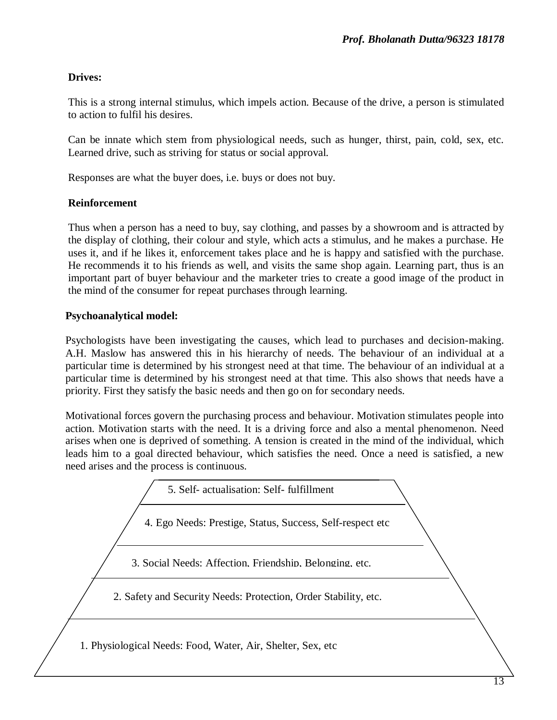# **Drives:**

This is a strong internal stimulus, which impels action. Because of the drive, a person is stimulated to action to fulfil his desires.

Can be innate which stem from physiological needs, such as hunger, thirst, pain, cold, sex, etc. Learned drive, such as striving for status or social approval.

Responses are what the buyer does, i.e. buys or does not buy.

# **Reinforcement**

Thus when a person has a need to buy, say clothing, and passes by a showroom and is attracted by the display of clothing, their colour and style, which acts a stimulus, and he makes a purchase. He uses it, and if he likes it, enforcement takes place and he is happy and satisfied with the purchase. He recommends it to his friends as well, and visits the same shop again. Learning part, thus is an important part of buyer behaviour and the marketer tries to create a good image of the product in the mind of the consumer for repeat purchases through learning.

## **Psychoanalytical model:**

Psychologists have been investigating the causes, which lead to purchases and decision-making. A.H. Maslow has answered this in his hierarchy of needs. The behaviour of an individual at a particular time is determined by his strongest need at that time. The behaviour of an individual at a particular time is determined by his strongest need at that time. This also shows that needs have a priority. First they satisfy the basic needs and then go on for secondary needs.

Motivational forces govern the purchasing process and behaviour. Motivation stimulates people into action. Motivation starts with the need. It is a driving force and also a mental phenomenon. Need arises when one is deprived of something. A tension is created in the mind of the individual, which leads him to a goal directed behaviour, which satisfies the need. Once a need is satisfied, a new need arises and the process is continuous.

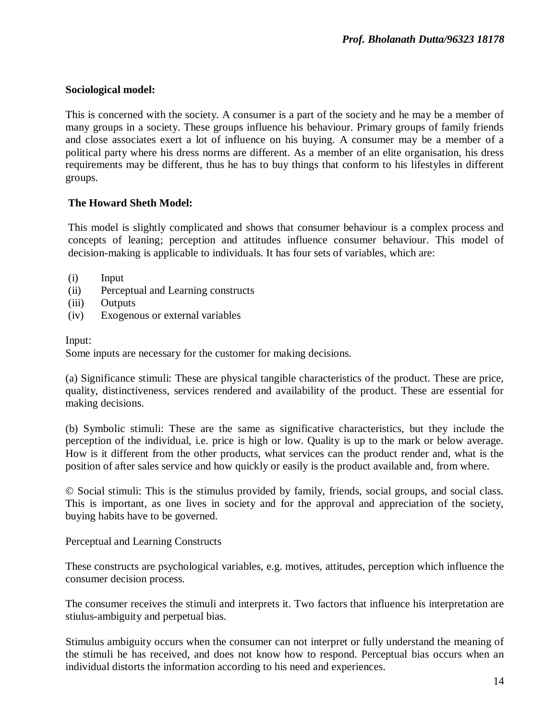# **Sociological model:**

This is concerned with the society. A consumer is a part of the society and he may be a member of many groups in a society. These groups influence his behaviour. Primary groups of family friends and close associates exert a lot of influence on his buying. A consumer may be a member of a political party where his dress norms are different. As a member of an elite organisation, his dress requirements may be different, thus he has to buy things that conform to his lifestyles in different groups.

# **The Howard Sheth Model:**

This model is slightly complicated and shows that consumer behaviour is a complex process and concepts of leaning; perception and attitudes influence consumer behaviour. This model of decision-making is applicable to individuals. It has four sets of variables, which are:

- (i) Input
- (ii) Perceptual and Learning constructs
- (iii) Outputs
- (iv) Exogenous or external variables

## Input:

Some inputs are necessary for the customer for making decisions.

(a) Significance stimuli: These are physical tangible characteristics of the product. These are price, quality, distinctiveness, services rendered and availability of the product. These are essential for making decisions.

(b) Symbolic stimuli: These are the same as significative characteristics, but they include the perception of the individual, i.e. price is high or low. Quality is up to the mark or below average. How is it different from the other products, what services can the product render and, what is the position of after sales service and how quickly or easily is the product available and, from where.

© Social stimuli: This is the stimulus provided by family, friends, social groups, and social class. This is important, as one lives in society and for the approval and appreciation of the society, buying habits have to be governed.

# Perceptual and Learning Constructs

These constructs are psychological variables, e.g. motives, attitudes, perception which influence the consumer decision process.

The consumer receives the stimuli and interprets it. Two factors that influence his interpretation are stiulus-ambiguity and perpetual bias.

Stimulus ambiguity occurs when the consumer can not interpret or fully understand the meaning of the stimuli he has received, and does not know how to respond. Perceptual bias occurs when an individual distorts the information according to his need and experiences.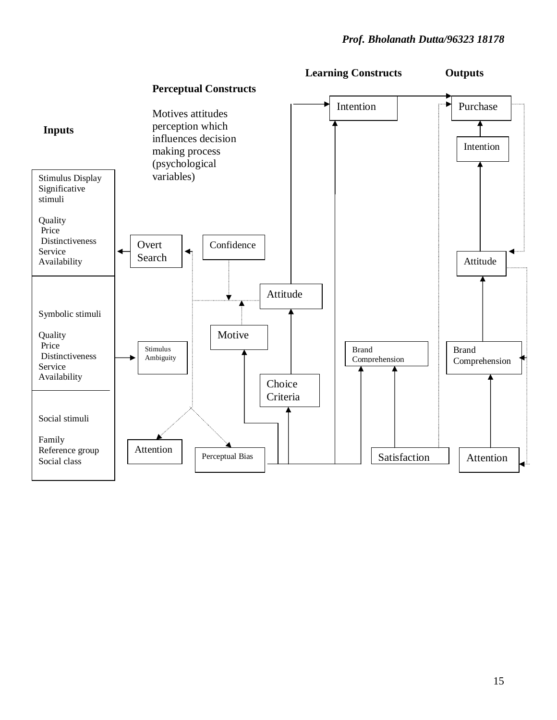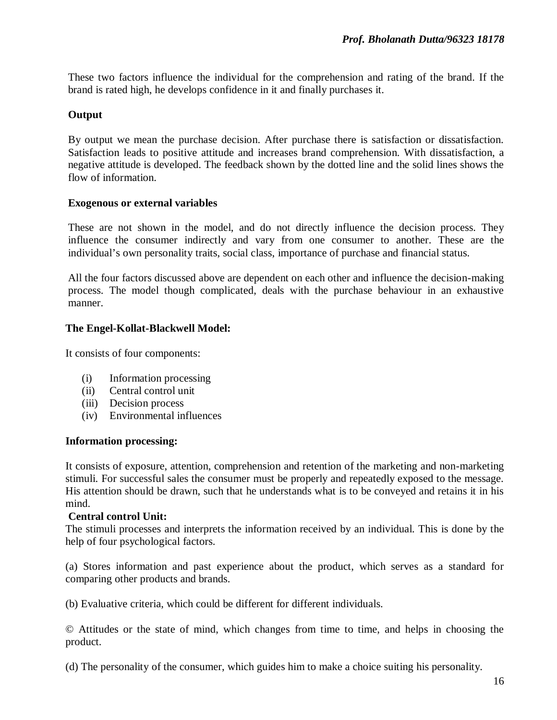These two factors influence the individual for the comprehension and rating of the brand. If the brand is rated high, he develops confidence in it and finally purchases it.

# **Output**

By output we mean the purchase decision. After purchase there is satisfaction or dissatisfaction. Satisfaction leads to positive attitude and increases brand comprehension. With dissatisfaction, a negative attitude is developed. The feedback shown by the dotted line and the solid lines shows the flow of information.

### **Exogenous or external variables**

These are not shown in the model, and do not directly influence the decision process. They influence the consumer indirectly and vary from one consumer to another. These are the individual's own personality traits, social class, importance of purchase and financial status.

All the four factors discussed above are dependent on each other and influence the decision-making process. The model though complicated, deals with the purchase behaviour in an exhaustive manner.

## **The Engel-Kollat-Blackwell Model:**

It consists of four components:

- (i) Information processing
- (ii) Central control unit
- (iii) Decision process
- (iv) Environmental influences

### **Information processing:**

It consists of exposure, attention, comprehension and retention of the marketing and non-marketing stimuli. For successful sales the consumer must be properly and repeatedly exposed to the message. His attention should be drawn, such that he understands what is to be conveyed and retains it in his mind.

### **Central control Unit:**

The stimuli processes and interprets the information received by an individual. This is done by the help of four psychological factors.

(a) Stores information and past experience about the product, which serves as a standard for comparing other products and brands.

(b) Evaluative criteria, which could be different for different individuals.

© Attitudes or the state of mind, which changes from time to time, and helps in choosing the product.

(d) The personality of the consumer, which guides him to make a choice suiting his personality.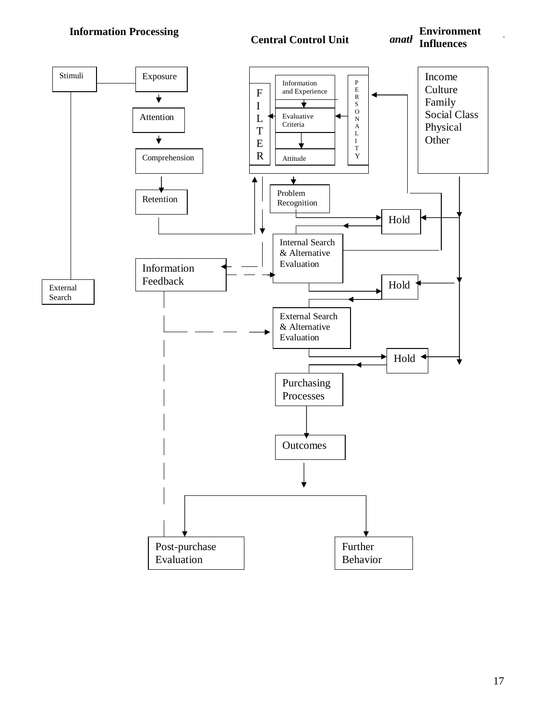# **Information Processing**

**Central Control Unit**

*Prof. Bholanath Dutta/96323 18178* **Influences Environment**

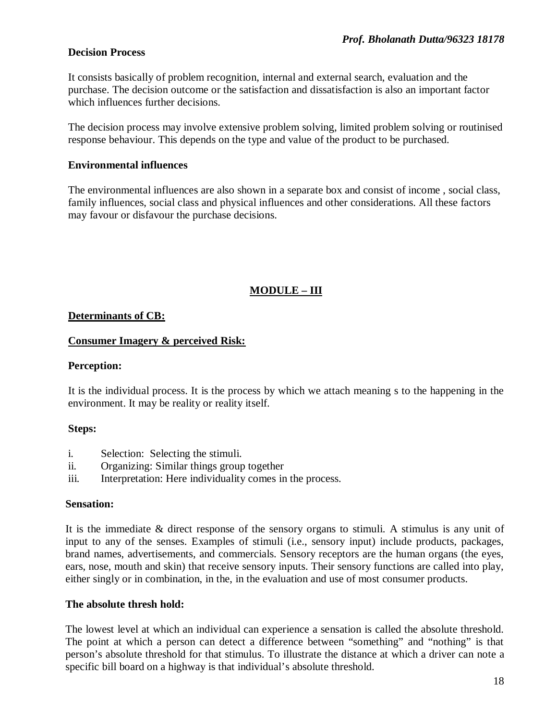## **Decision Process**

It consists basically of problem recognition, internal and external search, evaluation and the purchase. The decision outcome or the satisfaction and dissatisfaction is also an important factor which influences further decisions.

The decision process may involve extensive problem solving, limited problem solving or routinised response behaviour. This depends on the type and value of the product to be purchased.

### **Environmental influences**

The environmental influences are also shown in a separate box and consist of income , social class, family influences, social class and physical influences and other considerations. All these factors may favour or disfavour the purchase decisions.

# **MODULE – III**

### **Determinants of CB:**

### **Consumer Imagery & perceived Risk:**

### **Perception:**

It is the individual process. It is the process by which we attach meaning s to the happening in the environment. It may be reality or reality itself.

### **Steps:**

- i. Selection: Selecting the stimuli.
- ii. Organizing: Similar things group together
- iii. Interpretation: Here individuality comes in the process.

### **Sensation:**

It is the immediate & direct response of the sensory organs to stimuli. A stimulus is any unit of input to any of the senses. Examples of stimuli (i.e., sensory input) include products, packages, brand names, advertisements, and commercials. Sensory receptors are the human organs (the eyes, ears, nose, mouth and skin) that receive sensory inputs. Their sensory functions are called into play, either singly or in combination, in the, in the evaluation and use of most consumer products.

### **The absolute thresh hold:**

The lowest level at which an individual can experience a sensation is called the absolute threshold. The point at which a person can detect a difference between "something" and "nothing" is that person's absolute threshold for that stimulus. To illustrate the distance at which a driver can note a specific bill board on a highway is that individual's absolute threshold.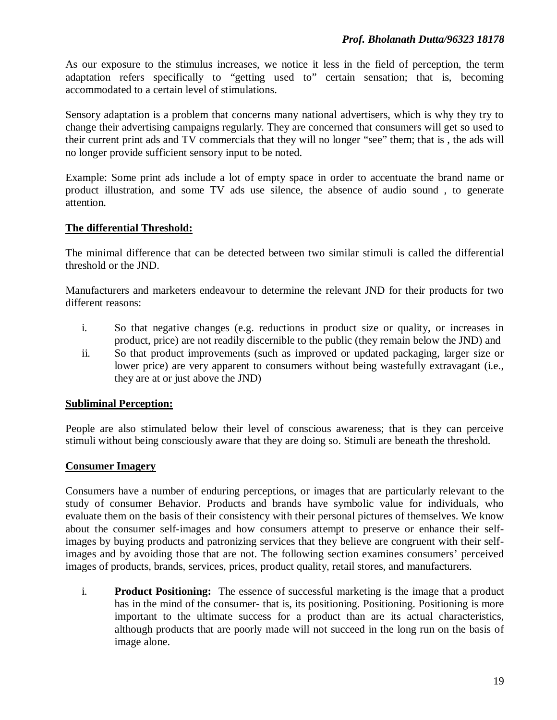As our exposure to the stimulus increases, we notice it less in the field of perception, the term adaptation refers specifically to "getting used to" certain sensation; that is, becoming accommodated to a certain level of stimulations.

Sensory adaptation is a problem that concerns many national advertisers, which is why they try to change their advertising campaigns regularly. They are concerned that consumers will get so used to their current print ads and TV commercials that they will no longer "see" them; that is , the ads will no longer provide sufficient sensory input to be noted.

Example: Some print ads include a lot of empty space in order to accentuate the brand name or product illustration, and some TV ads use silence, the absence of audio sound , to generate attention.

## **The differential Threshold:**

The minimal difference that can be detected between two similar stimuli is called the differential threshold or the JND.

Manufacturers and marketers endeavour to determine the relevant JND for their products for two different reasons:

- i. So that negative changes (e.g. reductions in product size or quality, or increases in product, price) are not readily discernible to the public (they remain below the JND) and
- ii. So that product improvements (such as improved or updated packaging, larger size or lower price) are very apparent to consumers without being wastefully extravagant (i.e., they are at or just above the JND)

### **Subliminal Perception:**

People are also stimulated below their level of conscious awareness; that is they can perceive stimuli without being consciously aware that they are doing so. Stimuli are beneath the threshold.

### **Consumer Imagery**

Consumers have a number of enduring perceptions, or images that are particularly relevant to the study of consumer Behavior. Products and brands have symbolic value for individuals, who evaluate them on the basis of their consistency with their personal pictures of themselves. We know about the consumer self-images and how consumers attempt to preserve or enhance their selfimages by buying products and patronizing services that they believe are congruent with their selfimages and by avoiding those that are not. The following section examines consumers' perceived images of products, brands, services, prices, product quality, retail stores, and manufacturers.

i. **Product Positioning:** The essence of successful marketing is the image that a product has in the mind of the consumer- that is, its positioning. Positioning. Positioning is more important to the ultimate success for a product than are its actual characteristics, although products that are poorly made will not succeed in the long run on the basis of image alone.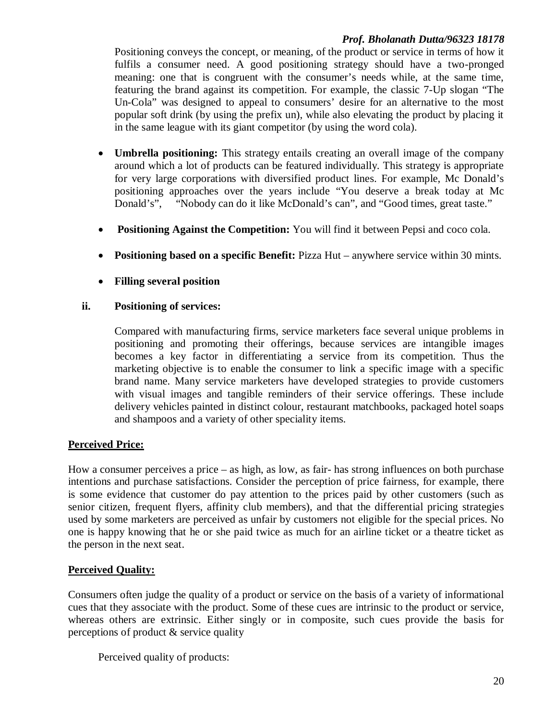# *Prof. Bholanath Dutta/96323 18178*

Positioning conveys the concept, or meaning, of the product or service in terms of how it fulfils a consumer need. A good positioning strategy should have a two-pronged meaning: one that is congruent with the consumer's needs while, at the same time, featuring the brand against its competition. For example, the classic 7-Up slogan "The Un-Cola" was designed to appeal to consumers' desire for an alternative to the most popular soft drink (by using the prefix un), while also elevating the product by placing it in the same league with its giant competitor (by using the word cola).

- **Umbrella positioning:** This strategy entails creating an overall image of the company around which a lot of products can be featured individually. This strategy is appropriate for very large corporations with diversified product lines. For example, Mc Donald's positioning approaches over the years include "You deserve a break today at Mc Donald's", "Nobody can do it like McDonald's can", and "Good times, great taste."
- **Positioning Against the Competition:** You will find it between Pepsi and coco cola.
- **Positioning based on a specific Benefit:** Pizza Hut anywhere service within 30 mints.
- **Filling several position**

## **ii. Positioning of services:**

Compared with manufacturing firms, service marketers face several unique problems in positioning and promoting their offerings, because services are intangible images becomes a key factor in differentiating a service from its competition. Thus the marketing objective is to enable the consumer to link a specific image with a specific brand name. Many service marketers have developed strategies to provide customers with visual images and tangible reminders of their service offerings. These include delivery vehicles painted in distinct colour, restaurant matchbooks, packaged hotel soaps and shampoos and a variety of other speciality items.

# **Perceived Price:**

How a consumer perceives a price – as high, as low, as fair- has strong influences on both purchase intentions and purchase satisfactions. Consider the perception of price fairness, for example, there is some evidence that customer do pay attention to the prices paid by other customers (such as senior citizen, frequent flyers, affinity club members), and that the differential pricing strategies used by some marketers are perceived as unfair by customers not eligible for the special prices. No one is happy knowing that he or she paid twice as much for an airline ticket or a theatre ticket as the person in the next seat.

# **Perceived Quality:**

Consumers often judge the quality of a product or service on the basis of a variety of informational cues that they associate with the product. Some of these cues are intrinsic to the product or service, whereas others are extrinsic. Either singly or in composite, such cues provide the basis for perceptions of product & service quality

Perceived quality of products: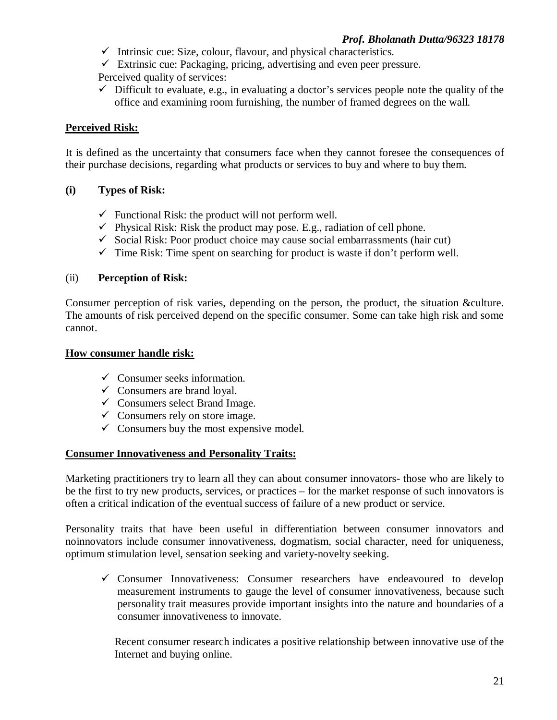- $\checkmark$  Intrinsic cue: Size, colour, flavour, and physical characteristics.
- $\checkmark$  Extrinsic cue: Packaging, pricing, advertising and even peer pressure.

Perceived quality of services:

 $\checkmark$  Difficult to evaluate, e.g., in evaluating a doctor's services people note the quality of the office and examining room furnishing, the number of framed degrees on the wall.

# **Perceived Risk:**

It is defined as the uncertainty that consumers face when they cannot foresee the consequences of their purchase decisions, regarding what products or services to buy and where to buy them.

# **(i) Types of Risk:**

- $\checkmark$  Functional Risk: the product will not perform well.
- $\checkmark$  Physical Risk: Risk the product may pose. E.g., radiation of cell phone.
- $\checkmark$  Social Risk: Poor product choice may cause social embarrassments (hair cut)
- $\checkmark$  Time Risk: Time spent on searching for product is waste if don't perform well.

## (ii) **Perception of Risk:**

Consumer perception of risk varies, depending on the person, the product, the situation &culture. The amounts of risk perceived depend on the specific consumer. Some can take high risk and some cannot.

### **How consumer handle risk:**

- $\checkmark$  Consumer seeks information.
- $\checkmark$  Consumers are brand loyal.
- $\checkmark$  Consumers select Brand Image.
- $\checkmark$  Consumers rely on store image.
- $\checkmark$  Consumers buy the most expensive model.

### **Consumer Innovativeness and Personality Traits:**

Marketing practitioners try to learn all they can about consumer innovators- those who are likely to be the first to try new products, services, or practices – for the market response of such innovators is often a critical indication of the eventual success of failure of a new product or service.

Personality traits that have been useful in differentiation between consumer innovators and noinnovators include consumer innovativeness, dogmatism, social character, need for uniqueness, optimum stimulation level, sensation seeking and variety-novelty seeking.

 $\checkmark$  Consumer Innovativeness: Consumer researchers have endeavoured to develop measurement instruments to gauge the level of consumer innovativeness, because such personality trait measures provide important insights into the nature and boundaries of a consumer innovativeness to innovate.

Recent consumer research indicates a positive relationship between innovative use of the Internet and buying online.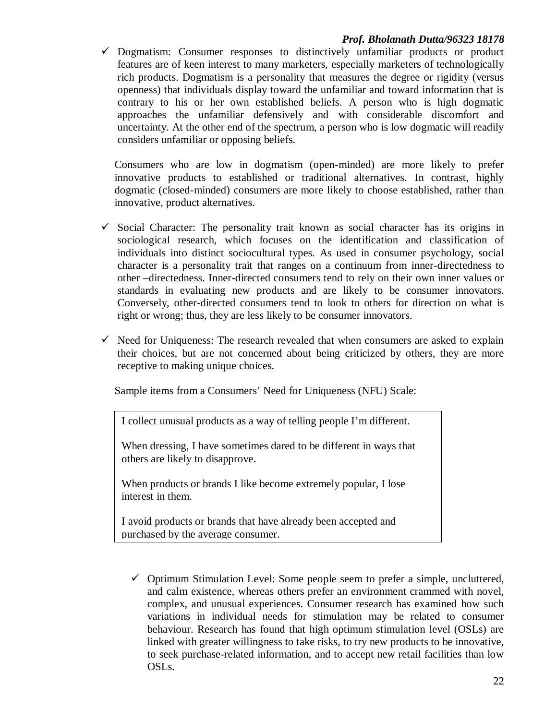# *Prof. Bholanath Dutta/96323 18178*

 $\checkmark$  Dogmatism: Consumer responses to distinctively unfamiliar products or product features are of keen interest to many marketers, especially marketers of technologically rich products. Dogmatism is a personality that measures the degree or rigidity (versus openness) that individuals display toward the unfamiliar and toward information that is contrary to his or her own established beliefs. A person who is high dogmatic approaches the unfamiliar defensively and with considerable discomfort and uncertainty. At the other end of the spectrum, a person who is low dogmatic will readily considers unfamiliar or opposing beliefs.

Consumers who are low in dogmatism (open-minded) are more likely to prefer innovative products to established or traditional alternatives. In contrast, highly dogmatic (closed-minded) consumers are more likely to choose established, rather than innovative, product alternatives.

- $\checkmark$  Social Character: The personality trait known as social character has its origins in sociological research, which focuses on the identification and classification of individuals into distinct sociocultural types. As used in consumer psychology, social character is a personality trait that ranges on a continuum from inner-directedness to other –directedness. Inner-directed consumers tend to rely on their own inner values or standards in evaluating new products and are likely to be consumer innovators. Conversely, other-directed consumers tend to look to others for direction on what is right or wrong; thus, they are less likely to be consumer innovators.
- $\checkmark$  Need for Uniqueness: The research revealed that when consumers are asked to explain their choices, but are not concerned about being criticized by others, they are more receptive to making unique choices.

Sample items from a Consumers' Need for Uniqueness (NFU) Scale:

I collect unusual products as a way of telling people I'm different.

When dressing, I have sometimes dared to be different in ways that others are likely to disapprove.

When products or brands I like become extremely popular, I lose interest in them.

I avoid products or brands that have already been accepted and purchased by the average consumer.

 $\checkmark$  Optimum Stimulation Level: Some people seem to prefer a simple, uncluttered, and calm existence, whereas others prefer an environment crammed with novel, complex, and unusual experiences. Consumer research has examined how such variations in individual needs for stimulation may be related to consumer behaviour. Research has found that high optimum stimulation level (OSLs) are linked with greater willingness to take risks, to try new products to be innovative, to seek purchase-related information, and to accept new retail facilities than low OSLs.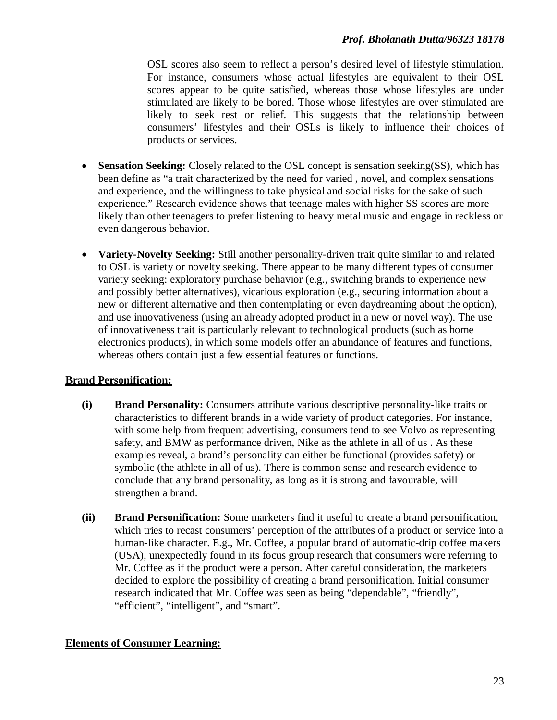OSL scores also seem to reflect a person's desired level of lifestyle stimulation. For instance, consumers whose actual lifestyles are equivalent to their OSL scores appear to be quite satisfied, whereas those whose lifestyles are under stimulated are likely to be bored. Those whose lifestyles are over stimulated are likely to seek rest or relief. This suggests that the relationship between consumers' lifestyles and their OSLs is likely to influence their choices of products or services.

- Sensation Seeking: Closely related to the OSL concept is sensation seeking(SS), which has been define as "a trait characterized by the need for varied , novel, and complex sensations and experience, and the willingness to take physical and social risks for the sake of such experience." Research evidence shows that teenage males with higher SS scores are more likely than other teenagers to prefer listening to heavy metal music and engage in reckless or even dangerous behavior.
- **Variety-Novelty Seeking:** Still another personality-driven trait quite similar to and related to OSL is variety or novelty seeking. There appear to be many different types of consumer variety seeking: exploratory purchase behavior (e.g., switching brands to experience new and possibly better alternatives), vicarious exploration (e.g., securing information about a new or different alternative and then contemplating or even daydreaming about the option), and use innovativeness (using an already adopted product in a new or novel way). The use of innovativeness trait is particularly relevant to technological products (such as home electronics products), in which some models offer an abundance of features and functions, whereas others contain just a few essential features or functions.

# **Brand Personification:**

- **(i) Brand Personality:** Consumers attribute various descriptive personality-like traits or characteristics to different brands in a wide variety of product categories. For instance, with some help from frequent advertising, consumers tend to see Volvo as representing safety, and BMW as performance driven, Nike as the athlete in all of us . As these examples reveal, a brand's personality can either be functional (provides safety) or symbolic (the athlete in all of us). There is common sense and research evidence to conclude that any brand personality, as long as it is strong and favourable, will strengthen a brand.
- **(ii) Brand Personification:** Some marketers find it useful to create a brand personification, which tries to recast consumers' perception of the attributes of a product or service into a human-like character. E.g., Mr. Coffee, a popular brand of automatic-drip coffee makers (USA), unexpectedly found in its focus group research that consumers were referring to Mr. Coffee as if the product were a person. After careful consideration, the marketers decided to explore the possibility of creating a brand personification. Initial consumer research indicated that Mr. Coffee was seen as being "dependable", "friendly", "efficient", "intelligent", and "smart".

# **Elements of Consumer Learning:**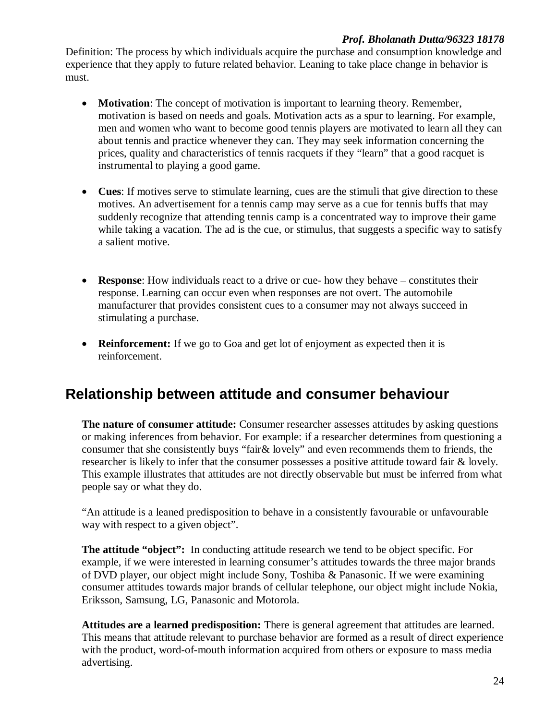Definition: The process by which individuals acquire the purchase and consumption knowledge and experience that they apply to future related behavior. Leaning to take place change in behavior is must.

- **Motivation**: The concept of motivation is important to learning theory. Remember, motivation is based on needs and goals. Motivation acts as a spur to learning. For example, men and women who want to become good tennis players are motivated to learn all they can about tennis and practice whenever they can. They may seek information concerning the prices, quality and characteristics of tennis racquets if they "learn" that a good racquet is instrumental to playing a good game.
- **Cues**: If motives serve to stimulate learning, cues are the stimuli that give direction to these motives. An advertisement for a tennis camp may serve as a cue for tennis buffs that may suddenly recognize that attending tennis camp is a concentrated way to improve their game while taking a vacation. The ad is the cue, or stimulus, that suggests a specific way to satisfy a salient motive.
- **Response**: How individuals react to a drive or cue- how they behave constitutes their response. Learning can occur even when responses are not overt. The automobile manufacturer that provides consistent cues to a consumer may not always succeed in stimulating a purchase.
- **Reinforcement:** If we go to Goa and get lot of enjoyment as expected then it is reinforcement.

# **Relationship between attitude and consumer behaviour**

**The nature of consumer attitude:** Consumer researcher assesses attitudes by asking questions or making inferences from behavior. For example: if a researcher determines from questioning a consumer that she consistently buys "fair& lovely" and even recommends them to friends, the researcher is likely to infer that the consumer possesses a positive attitude toward fair & lovely. This example illustrates that attitudes are not directly observable but must be inferred from what people say or what they do.

"An attitude is a leaned predisposition to behave in a consistently favourable or unfavourable way with respect to a given object".

**The attitude "object":** In conducting attitude research we tend to be object specific. For example, if we were interested in learning consumer's attitudes towards the three major brands of DVD player, our object might include Sony, Toshiba & Panasonic. If we were examining consumer attitudes towards major brands of cellular telephone, our object might include Nokia, Eriksson, Samsung, LG, Panasonic and Motorola.

**Attitudes are a learned predisposition:** There is general agreement that attitudes are learned. This means that attitude relevant to purchase behavior are formed as a result of direct experience with the product, word-of-mouth information acquired from others or exposure to mass media advertising.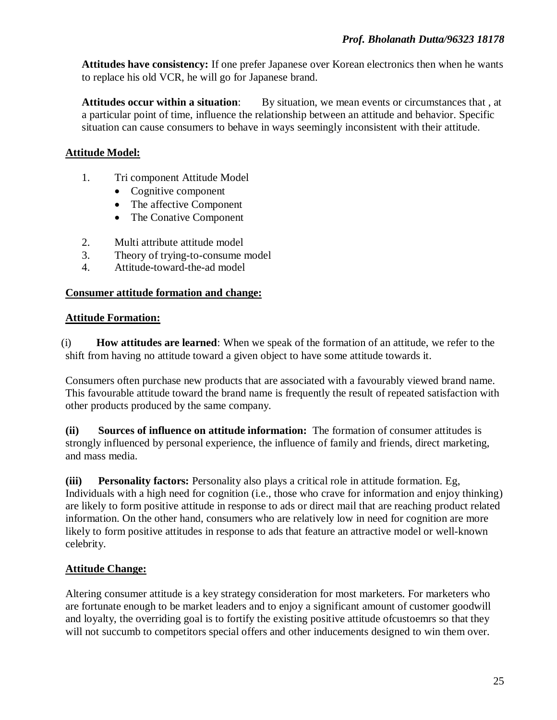**Attitudes have consistency:** If one prefer Japanese over Korean electronics then when he wants to replace his old VCR, he will go for Japanese brand.

**Attitudes occur within a situation**: By situation, we mean events or circumstances that , at a particular point of time, influence the relationship between an attitude and behavior. Specific situation can cause consumers to behave in ways seemingly inconsistent with their attitude.

# **Attitude Model:**

- 1. Tri component Attitude Model
	- Cognitive component
	- The affective Component
	- The Conative Component
- 2. Multi attribute attitude model
- 3. Theory of trying-to-consume model
- 4. Attitude-toward-the-ad model

### **Consumer attitude formation and change:**

## **Attitude Formation:**

(i) **How attitudes are learned**: When we speak of the formation of an attitude, we refer to the shift from having no attitude toward a given object to have some attitude towards it.

Consumers often purchase new products that are associated with a favourably viewed brand name. This favourable attitude toward the brand name is frequently the result of repeated satisfaction with other products produced by the same company.

**(ii) Sources of influence on attitude information:** The formation of consumer attitudes is strongly influenced by personal experience, the influence of family and friends, direct marketing, and mass media.

**(iii) Personality factors:** Personality also plays a critical role in attitude formation. Eg, Individuals with a high need for cognition (i.e., those who crave for information and enjoy thinking) are likely to form positive attitude in response to ads or direct mail that are reaching product related information. On the other hand, consumers who are relatively low in need for cognition are more likely to form positive attitudes in response to ads that feature an attractive model or well-known celebrity.

# **Attitude Change:**

Altering consumer attitude is a key strategy consideration for most marketers. For marketers who are fortunate enough to be market leaders and to enjoy a significant amount of customer goodwill and loyalty, the overriding goal is to fortify the existing positive attitude ofcustoemrs so that they will not succumb to competitors special offers and other inducements designed to win them over.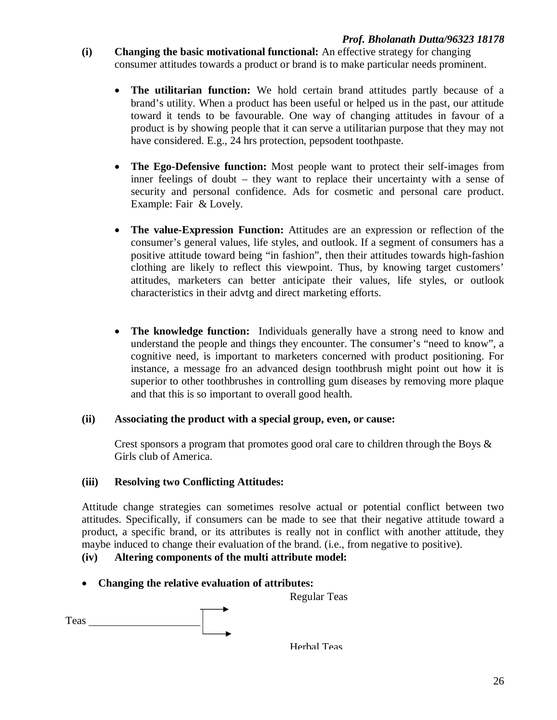- **(i) Changing the basic motivational functional:** An effective strategy for changing consumer attitudes towards a product or brand is to make particular needs prominent.
	- **The utilitarian function:** We hold certain brand attitudes partly because of a brand's utility. When a product has been useful or helped us in the past, our attitude toward it tends to be favourable. One way of changing attitudes in favour of a product is by showing people that it can serve a utilitarian purpose that they may not have considered. E.g., 24 hrs protection, pepsodent toothpaste.
	- **The Ego-Defensive function:** Most people want to protect their self-images from inner feelings of doubt – they want to replace their uncertainty with a sense of security and personal confidence. Ads for cosmetic and personal care product. Example: Fair & Lovely.
	- **The value-Expression Function:** Attitudes are an expression or reflection of the consumer's general values, life styles, and outlook. If a segment of consumers has a positive attitude toward being "in fashion", then their attitudes towards high-fashion clothing are likely to reflect this viewpoint. Thus, by knowing target customers' attitudes, marketers can better anticipate their values, life styles, or outlook characteristics in their advtg and direct marketing efforts.
	- **The knowledge function:** Individuals generally have a strong need to know and understand the people and things they encounter. The consumer's "need to know", a cognitive need, is important to marketers concerned with product positioning. For instance, a message fro an advanced design toothbrush might point out how it is superior to other toothbrushes in controlling gum diseases by removing more plaque and that this is so important to overall good health.

# **(ii) Associating the product with a special group, even, or cause:**

Crest sponsors a program that promotes good oral care to children through the Boys & Girls club of America.

# **(iii) Resolving two Conflicting Attitudes:**

Attitude change strategies can sometimes resolve actual or potential conflict between two attitudes. Specifically, if consumers can be made to see that their negative attitude toward a product, a specific brand, or its attributes is really not in conflict with another attitude, they maybe induced to change their evaluation of the brand. (i.e., from negative to positive).

# **(iv) Altering components of the multi attribute model:**

**Changing the relative evaluation of attributes:**

Regular Teas



Herbal Teas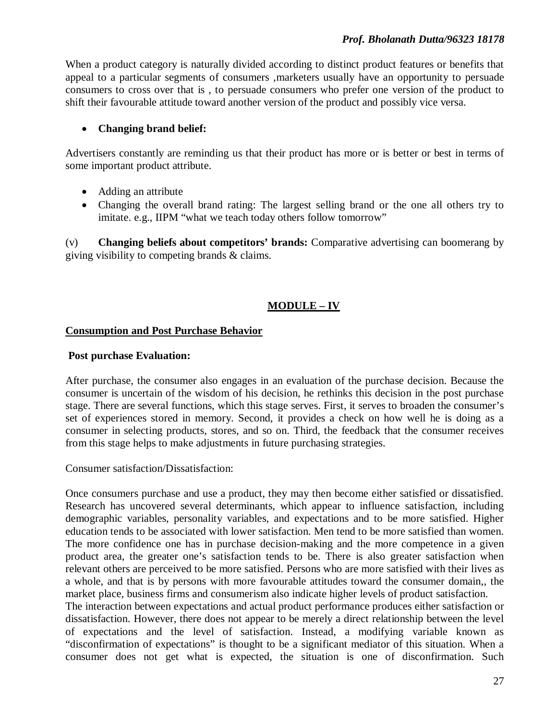When a product category is naturally divided according to distinct product features or benefits that appeal to a particular segments of consumers ,marketers usually have an opportunity to persuade consumers to cross over that is , to persuade consumers who prefer one version of the product to shift their favourable attitude toward another version of the product and possibly vice versa.

# **Changing brand belief:**

Advertisers constantly are reminding us that their product has more or is better or best in terms of some important product attribute.

- Adding an attribute
- Changing the overall brand rating: The largest selling brand or the one all others try to imitate. e.g., IIPM "what we teach today others follow tomorrow"

(v) **Changing beliefs about competitors' brands:** Comparative advertising can boomerang by giving visibility to competing brands & claims.

# **MODULE – IV**

# **Consumption and Post Purchase Behavior**

# **Post purchase Evaluation:**

After purchase, the consumer also engages in an evaluation of the purchase decision. Because the consumer is uncertain of the wisdom of his decision, he rethinks this decision in the post purchase stage. There are several functions, which this stage serves. First, it serves to broaden the consumer's set of experiences stored in memory. Second, it provides a check on how well he is doing as a consumer in selecting products, stores, and so on. Third, the feedback that the consumer receives from this stage helps to make adjustments in future purchasing strategies.

Consumer satisfaction/Dissatisfaction:

Once consumers purchase and use a product, they may then become either satisfied or dissatisfied. Research has uncovered several determinants, which appear to influence satisfaction, including demographic variables, personality variables, and expectations and to be more satisfied. Higher education tends to be associated with lower satisfaction. Men tend to be more satisfied than women. The more confidence one has in purchase decision-making and the more competence in a given product area, the greater one's satisfaction tends to be. There is also greater satisfaction when relevant others are perceived to be more satisfied. Persons who are more satisfied with their lives as a whole, and that is by persons with more favourable attitudes toward the consumer domain,, the market place, business firms and consumerism also indicate higher levels of product satisfaction.

The interaction between expectations and actual product performance produces either satisfaction or dissatisfaction. However, there does not appear to be merely a direct relationship between the level of expectations and the level of satisfaction. Instead, a modifying variable known as "disconfirmation of expectations" is thought to be a significant mediator of this situation. When a consumer does not get what is expected, the situation is one of disconfirmation. Such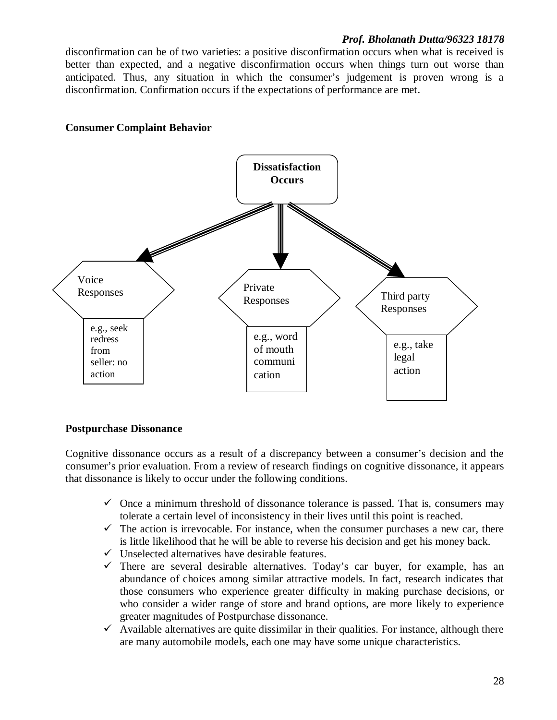## *Prof. Bholanath Dutta/96323 18178*

disconfirmation can be of two varieties: a positive disconfirmation occurs when what is received is better than expected, and a negative disconfirmation occurs when things turn out worse than anticipated. Thus, any situation in which the consumer's judgement is proven wrong is a disconfirmation. Confirmation occurs if the expectations of performance are met.

## **Consumer Complaint Behavior**



### **Postpurchase Dissonance**

Cognitive dissonance occurs as a result of a discrepancy between a consumer's decision and the consumer's prior evaluation. From a review of research findings on cognitive dissonance, it appears that dissonance is likely to occur under the following conditions.

- $\checkmark$  Once a minimum threshold of dissonance tolerance is passed. That is, consumers may tolerate a certain level of inconsistency in their lives until this point is reached.
- $\checkmark$  The action is irrevocable. For instance, when the consumer purchases a new car, there is little likelihood that he will be able to reverse his decision and get his money back.
- $\checkmark$  Unselected alternatives have desirable features.
- $\checkmark$  There are several desirable alternatives. Today's car buyer, for example, has an abundance of choices among similar attractive models. In fact, research indicates that those consumers who experience greater difficulty in making purchase decisions, or who consider a wider range of store and brand options, are more likely to experience greater magnitudes of Postpurchase dissonance.
- $\checkmark$  Available alternatives are quite dissimilar in their qualities. For instance, although there are many automobile models, each one may have some unique characteristics.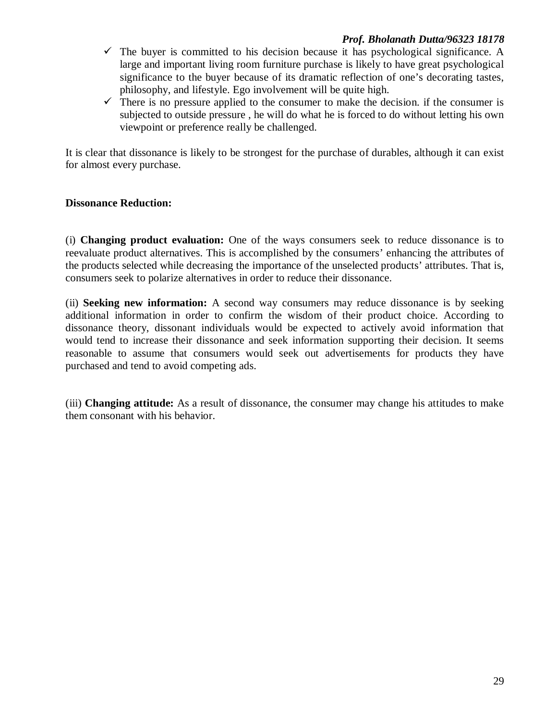- $\checkmark$  The buyer is committed to his decision because it has psychological significance. A large and important living room furniture purchase is likely to have great psychological significance to the buyer because of its dramatic reflection of one's decorating tastes, philosophy, and lifestyle. Ego involvement will be quite high.
- $\checkmark$  There is no pressure applied to the consumer to make the decision. if the consumer is subjected to outside pressure , he will do what he is forced to do without letting his own viewpoint or preference really be challenged.

It is clear that dissonance is likely to be strongest for the purchase of durables, although it can exist for almost every purchase.

## **Dissonance Reduction:**

(i) **Changing product evaluation:** One of the ways consumers seek to reduce dissonance is to reevaluate product alternatives. This is accomplished by the consumers' enhancing the attributes of the products selected while decreasing the importance of the unselected products' attributes. That is, consumers seek to polarize alternatives in order to reduce their dissonance.

(ii) **Seeking new information:** A second way consumers may reduce dissonance is by seeking additional information in order to confirm the wisdom of their product choice. According to dissonance theory, dissonant individuals would be expected to actively avoid information that would tend to increase their dissonance and seek information supporting their decision. It seems reasonable to assume that consumers would seek out advertisements for products they have purchased and tend to avoid competing ads.

(iii) **Changing attitude:** As a result of dissonance, the consumer may change his attitudes to make them consonant with his behavior.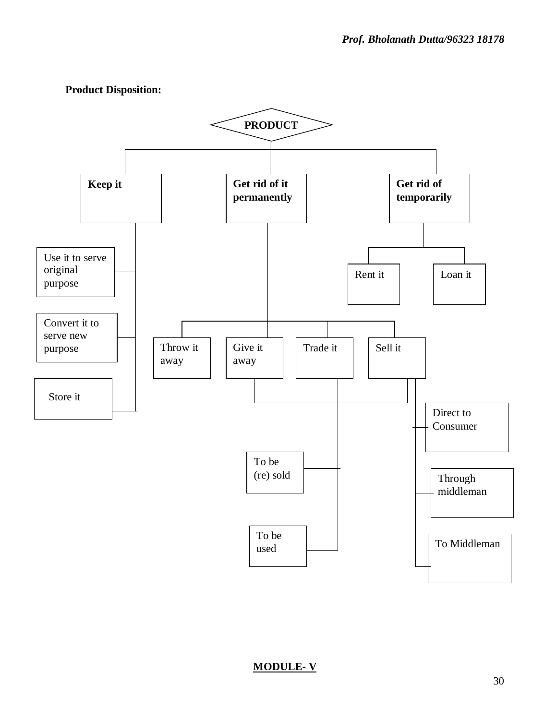# **Product Disposition:**



# **MODULE- V**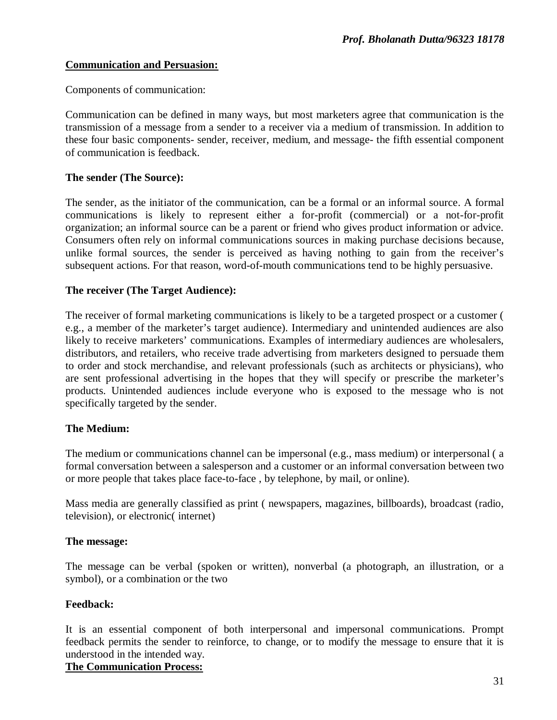### **Communication and Persuasion:**

Components of communication:

Communication can be defined in many ways, but most marketers agree that communication is the transmission of a message from a sender to a receiver via a medium of transmission. In addition to these four basic components- sender, receiver, medium, and message- the fifth essential component of communication is feedback.

### **The sender (The Source):**

The sender, as the initiator of the communication, can be a formal or an informal source. A formal communications is likely to represent either a for-profit (commercial) or a not-for-profit organization; an informal source can be a parent or friend who gives product information or advice. Consumers often rely on informal communications sources in making purchase decisions because, unlike formal sources, the sender is perceived as having nothing to gain from the receiver's subsequent actions. For that reason, word-of-mouth communications tend to be highly persuasive.

### **The receiver (The Target Audience):**

The receiver of formal marketing communications is likely to be a targeted prospect or a customer ( e.g., a member of the marketer's target audience). Intermediary and unintended audiences are also likely to receive marketers' communications. Examples of intermediary audiences are wholesalers, distributors, and retailers, who receive trade advertising from marketers designed to persuade them to order and stock merchandise, and relevant professionals (such as architects or physicians), who are sent professional advertising in the hopes that they will specify or prescribe the marketer's products. Unintended audiences include everyone who is exposed to the message who is not specifically targeted by the sender.

### **The Medium:**

The medium or communications channel can be impersonal (e.g., mass medium) or interpersonal ( a formal conversation between a salesperson and a customer or an informal conversation between two or more people that takes place face-to-face , by telephone, by mail, or online).

Mass media are generally classified as print ( newspapers, magazines, billboards), broadcast (radio, television), or electronic( internet)

### **The message:**

The message can be verbal (spoken or written), nonverbal (a photograph, an illustration, or a symbol), or a combination or the two

### **Feedback:**

It is an essential component of both interpersonal and impersonal communications. Prompt feedback permits the sender to reinforce, to change, or to modify the message to ensure that it is understood in the intended way.

### **The Communication Process:**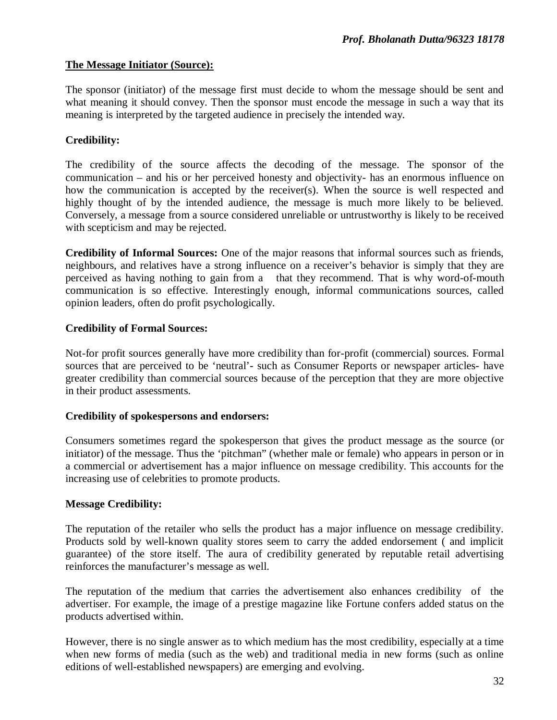# **The Message Initiator (Source):**

The sponsor (initiator) of the message first must decide to whom the message should be sent and what meaning it should convey. Then the sponsor must encode the message in such a way that its meaning is interpreted by the targeted audience in precisely the intended way.

# **Credibility:**

The credibility of the source affects the decoding of the message. The sponsor of the communication – and his or her perceived honesty and objectivity- has an enormous influence on how the communication is accepted by the receiver(s). When the source is well respected and highly thought of by the intended audience, the message is much more likely to be believed. Conversely, a message from a source considered unreliable or untrustworthy is likely to be received with scepticism and may be rejected.

**Credibility of Informal Sources:** One of the major reasons that informal sources such as friends, neighbours, and relatives have a strong influence on a receiver's behavior is simply that they are perceived as having nothing to gain from a that they recommend. That is why word-of-mouth communication is so effective. Interestingly enough, informal communications sources, called opinion leaders, often do profit psychologically.

# **Credibility of Formal Sources:**

Not-for profit sources generally have more credibility than for-profit (commercial) sources. Formal sources that are perceived to be 'neutral'- such as Consumer Reports or newspaper articles- have greater credibility than commercial sources because of the perception that they are more objective in their product assessments.

### **Credibility of spokespersons and endorsers:**

Consumers sometimes regard the spokesperson that gives the product message as the source (or initiator) of the message. Thus the 'pitchman" (whether male or female) who appears in person or in a commercial or advertisement has a major influence on message credibility. This accounts for the increasing use of celebrities to promote products.

### **Message Credibility:**

The reputation of the retailer who sells the product has a major influence on message credibility. Products sold by well-known quality stores seem to carry the added endorsement ( and implicit guarantee) of the store itself. The aura of credibility generated by reputable retail advertising reinforces the manufacturer's message as well.

The reputation of the medium that carries the advertisement also enhances credibility of the advertiser. For example, the image of a prestige magazine like Fortune confers added status on the products advertised within.

However, there is no single answer as to which medium has the most credibility, especially at a time when new forms of media (such as the web) and traditional media in new forms (such as online editions of well-established newspapers) are emerging and evolving.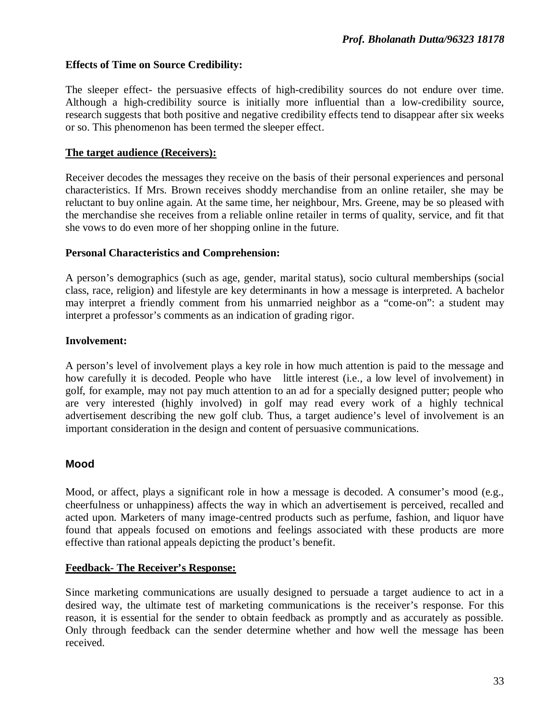# **Effects of Time on Source Credibility:**

The sleeper effect- the persuasive effects of high-credibility sources do not endure over time. Although a high-credibility source is initially more influential than a low-credibility source, research suggests that both positive and negative credibility effects tend to disappear after six weeks or so. This phenomenon has been termed the sleeper effect.

### **The target audience (Receivers):**

Receiver decodes the messages they receive on the basis of their personal experiences and personal characteristics. If Mrs. Brown receives shoddy merchandise from an online retailer, she may be reluctant to buy online again. At the same time, her neighbour, Mrs. Greene, may be so pleased with the merchandise she receives from a reliable online retailer in terms of quality, service, and fit that she vows to do even more of her shopping online in the future.

### **Personal Characteristics and Comprehension:**

A person's demographics (such as age, gender, marital status), socio cultural memberships (social class, race, religion) and lifestyle are key determinants in how a message is interpreted. A bachelor may interpret a friendly comment from his unmarried neighbor as a "come-on": a student may interpret a professor's comments as an indication of grading rigor.

### **Involvement:**

A person's level of involvement plays a key role in how much attention is paid to the message and how carefully it is decoded. People who have little interest (i.e., a low level of involvement) in golf, for example, may not pay much attention to an ad for a specially designed putter; people who are very interested (highly involved) in golf may read every work of a highly technical advertisement describing the new golf club. Thus, a target audience's level of involvement is an important consideration in the design and content of persuasive communications.

# **Mood**

Mood, or affect, plays a significant role in how a message is decoded. A consumer's mood (e.g., cheerfulness or unhappiness) affects the way in which an advertisement is perceived, recalled and acted upon. Marketers of many image-centred products such as perfume, fashion, and liquor have found that appeals focused on emotions and feelings associated with these products are more effective than rational appeals depicting the product's benefit.

### **Feedback- The Receiver's Response:**

Since marketing communications are usually designed to persuade a target audience to act in a desired way, the ultimate test of marketing communications is the receiver's response. For this reason, it is essential for the sender to obtain feedback as promptly and as accurately as possible. Only through feedback can the sender determine whether and how well the message has been received.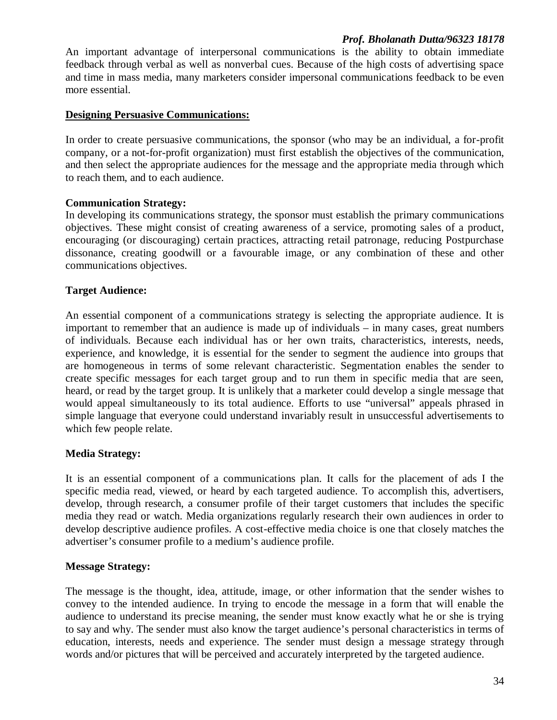An important advantage of interpersonal communications is the ability to obtain immediate feedback through verbal as well as nonverbal cues. Because of the high costs of advertising space and time in mass media, many marketers consider impersonal communications feedback to be even more essential.

## **Designing Persuasive Communications:**

In order to create persuasive communications, the sponsor (who may be an individual, a for-profit company, or a not-for-profit organization) must first establish the objectives of the communication, and then select the appropriate audiences for the message and the appropriate media through which to reach them, and to each audience.

## **Communication Strategy:**

In developing its communications strategy, the sponsor must establish the primary communications objectives. These might consist of creating awareness of a service, promoting sales of a product, encouraging (or discouraging) certain practices, attracting retail patronage, reducing Postpurchase dissonance, creating goodwill or a favourable image, or any combination of these and other communications objectives.

## **Target Audience:**

An essential component of a communications strategy is selecting the appropriate audience. It is important to remember that an audience is made up of individuals – in many cases, great numbers of individuals. Because each individual has or her own traits, characteristics, interests, needs, experience, and knowledge, it is essential for the sender to segment the audience into groups that are homogeneous in terms of some relevant characteristic. Segmentation enables the sender to create specific messages for each target group and to run them in specific media that are seen, heard, or read by the target group. It is unlikely that a marketer could develop a single message that would appeal simultaneously to its total audience. Efforts to use "universal" appeals phrased in simple language that everyone could understand invariably result in unsuccessful advertisements to which few people relate.

# **Media Strategy:**

It is an essential component of a communications plan. It calls for the placement of ads I the specific media read, viewed, or heard by each targeted audience. To accomplish this, advertisers, develop, through research, a consumer profile of their target customers that includes the specific media they read or watch. Media organizations regularly research their own audiences in order to develop descriptive audience profiles. A cost-effective media choice is one that closely matches the advertiser's consumer profile to a medium's audience profile.

### **Message Strategy:**

The message is the thought, idea, attitude, image, or other information that the sender wishes to convey to the intended audience. In trying to encode the message in a form that will enable the audience to understand its precise meaning, the sender must know exactly what he or she is trying to say and why. The sender must also know the target audience's personal characteristics in terms of education, interests, needs and experience. The sender must design a message strategy through words and/or pictures that will be perceived and accurately interpreted by the targeted audience.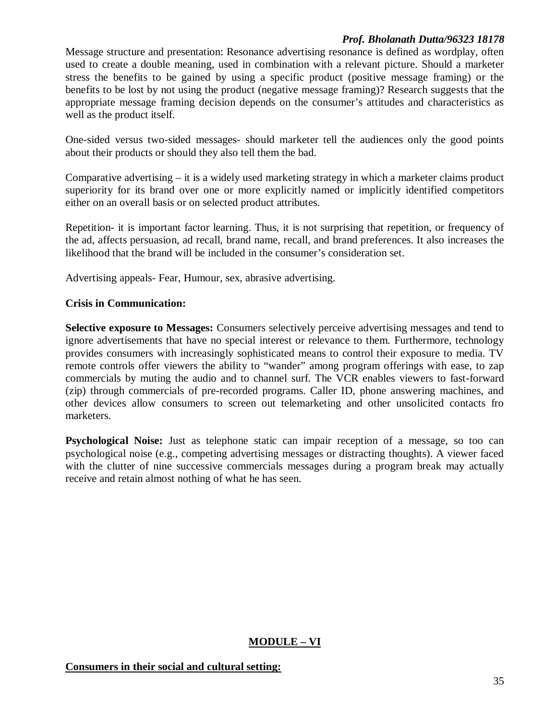# *Prof. Bholanath Dutta/96323 18178*

Message structure and presentation: Resonance advertising resonance is defined as wordplay, often used to create a double meaning, used in combination with a relevant picture. Should a marketer stress the benefits to be gained by using a specific product (positive message framing) or the benefits to be lost by not using the product (negative message framing)? Research suggests that the appropriate message framing decision depends on the consumer's attitudes and characteristics as well as the product itself.

One-sided versus two-sided messages- should marketer tell the audiences only the good points about their products or should they also tell them the bad.

Comparative advertising – it is a widely used marketing strategy in which a marketer claims product superiority for its brand over one or more explicitly named or implicitly identified competitors either on an overall basis or on selected product attributes.

Repetition- it is important factor learning. Thus, it is not surprising that repetition, or frequency of the ad, affects persuasion, ad recall, brand name, recall, and brand preferences. It also increases the likelihood that the brand will be included in the consumer's consideration set.

Advertising appeals- Fear, Humour, sex, abrasive advertising.

## **Crisis in Communication:**

**Selective exposure to Messages:** Consumers selectively perceive advertising messages and tend to ignore advertisements that have no special interest or relevance to them. Furthermore, technology provides consumers with increasingly sophisticated means to control their exposure to media. TV remote controls offer viewers the ability to "wander" among program offerings with ease, to zap commercials by muting the audio and to channel surf. The VCR enables viewers to fast-forward (zip) through commercials of pre-recorded programs. Caller ID, phone answering machines, and other devices allow consumers to screen out telemarketing and other unsolicited contacts fro marketers.

**Psychological Noise:** Just as telephone static can impair reception of a message, so too can psychological noise (e.g., competing advertising messages or distracting thoughts). A viewer faced with the clutter of nine successive commercials messages during a program break may actually receive and retain almost nothing of what he has seen.

# **MODULE – VI**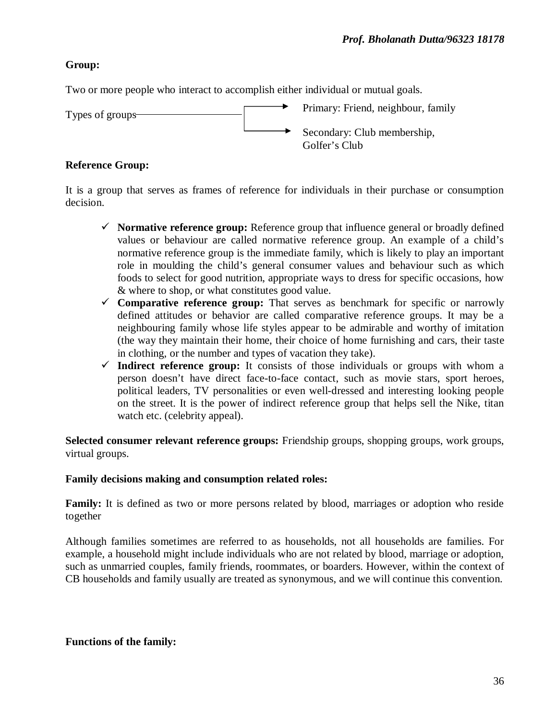## **Group:**

Two or more people who interact to accomplish either individual or mutual goals.

Types of groups Primary: Friend, neighbour, family Secondary: Club membership, Golfer's Club

## **Reference Group:**

It is a group that serves as frames of reference for individuals in their purchase or consumption decision.

- **Normative reference group:** Reference group that influence general or broadly defined values or behaviour are called normative reference group. An example of a child's normative reference group is the immediate family, which is likely to play an important role in moulding the child's general consumer values and behaviour such as which foods to select for good nutrition, appropriate ways to dress for specific occasions, how & where to shop, or what constitutes good value.
- **Comparative reference group:** That serves as benchmark for specific or narrowly defined attitudes or behavior are called comparative reference groups. It may be a neighbouring family whose life styles appear to be admirable and worthy of imitation (the way they maintain their home, their choice of home furnishing and cars, their taste in clothing, or the number and types of vacation they take).
- **Indirect reference group:** It consists of those individuals or groups with whom a person doesn't have direct face-to-face contact, such as movie stars, sport heroes, political leaders, TV personalities or even well-dressed and interesting looking people on the street. It is the power of indirect reference group that helps sell the Nike, titan watch etc. (celebrity appeal).

**Selected consumer relevant reference groups:** Friendship groups, shopping groups, work groups, virtual groups.

### **Family decisions making and consumption related roles:**

**Family:** It is defined as two or more persons related by blood, marriages or adoption who reside together

Although families sometimes are referred to as households, not all households are families. For example, a household might include individuals who are not related by blood, marriage or adoption, such as unmarried couples, family friends, roommates, or boarders. However, within the context of CB households and family usually are treated as synonymous, and we will continue this convention.

### **Functions of the family:**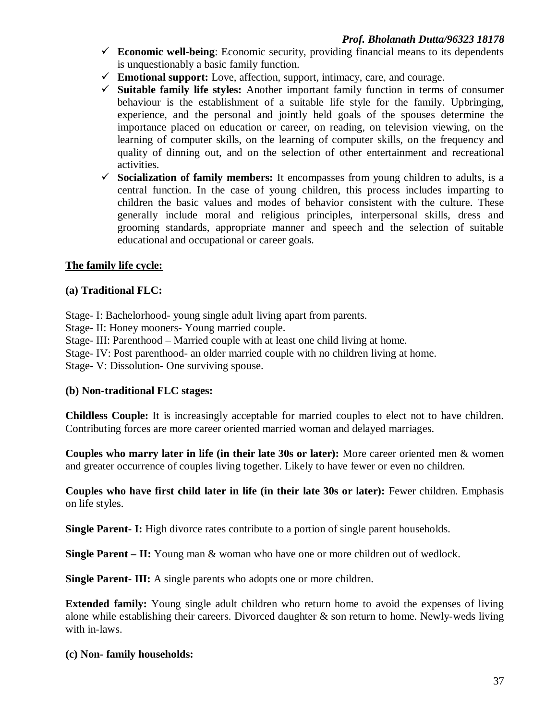- $\checkmark$  Economic well-being: Economic security, providing financial means to its dependents is unquestionably a basic family function.
- **Emotional support:** Love, affection, support, intimacy, care, and courage.
- $\checkmark$  Suitable family life styles: Another important family function in terms of consumer behaviour is the establishment of a suitable life style for the family. Upbringing, experience, and the personal and jointly held goals of the spouses determine the importance placed on education or career, on reading, on television viewing, on the learning of computer skills, on the learning of computer skills, on the frequency and quality of dinning out, and on the selection of other entertainment and recreational activities.
- **Socialization of family members:** It encompasses from young children to adults, is a central function. In the case of young children, this process includes imparting to children the basic values and modes of behavior consistent with the culture. These generally include moral and religious principles, interpersonal skills, dress and grooming standards, appropriate manner and speech and the selection of suitable educational and occupational or career goals.

## **The family life cycle:**

### **(a) Traditional FLC:**

Stage- I: Bachelorhood- young single adult living apart from parents.

Stage- II: Honey mooners- Young married couple.

Stage- III: Parenthood – Married couple with at least one child living at home.

Stage- IV: Post parenthood- an older married couple with no children living at home.

Stage- V: Dissolution- One surviving spouse.

### **(b) Non-traditional FLC stages:**

**Childless Couple:** It is increasingly acceptable for married couples to elect not to have children. Contributing forces are more career oriented married woman and delayed marriages.

**Couples who marry later in life (in their late 30s or later):** More career oriented men & women and greater occurrence of couples living together. Likely to have fewer or even no children.

**Couples who have first child later in life (in their late 30s or later):** Fewer children. Emphasis on life styles.

**Single Parent- I:** High divorce rates contribute to a portion of single parent households.

**Single Parent – II:** Young man & woman who have one or more children out of wedlock.

**Single Parent- III:** A single parents who adopts one or more children.

**Extended family:** Young single adult children who return home to avoid the expenses of living alone while establishing their careers. Divorced daughter & son return to home. Newly-weds living with in-laws.

### **(c) Non- family households:**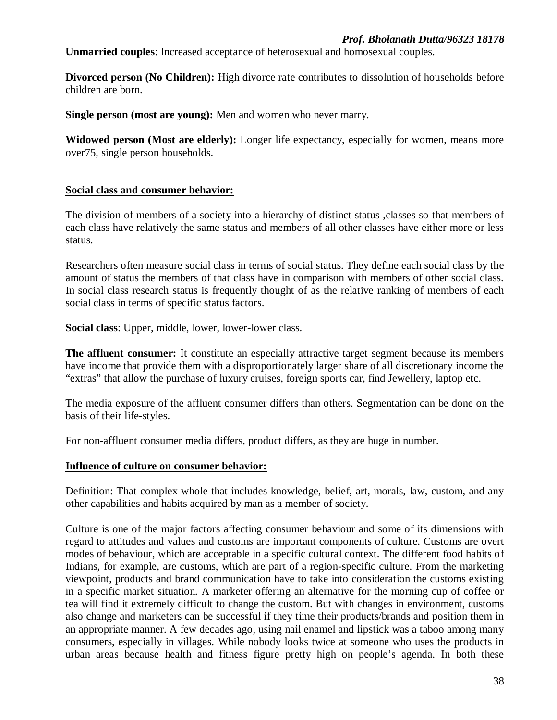**Unmarried couples**: Increased acceptance of heterosexual and homosexual couples.

**Divorced person (No Children):** High divorce rate contributes to dissolution of households before children are born.

**Single person (most are young):** Men and women who never marry.

**Widowed person (Most are elderly):** Longer life expectancy, especially for women, means more over75, single person households.

### **Social class and consumer behavior:**

The division of members of a society into a hierarchy of distinct status ,classes so that members of each class have relatively the same status and members of all other classes have either more or less status.

Researchers often measure social class in terms of social status. They define each social class by the amount of status the members of that class have in comparison with members of other social class. In social class research status is frequently thought of as the relative ranking of members of each social class in terms of specific status factors.

**Social class**: Upper, middle, lower, lower-lower class.

**The affluent consumer:** It constitute an especially attractive target segment because its members have income that provide them with a disproportionately larger share of all discretionary income the "extras" that allow the purchase of luxury cruises, foreign sports car, find Jewellery, laptop etc.

The media exposure of the affluent consumer differs than others. Segmentation can be done on the basis of their life-styles.

For non-affluent consumer media differs, product differs, as they are huge in number.

### **Influence of culture on consumer behavior:**

Definition: That complex whole that includes knowledge, belief, art, morals, law, custom, and any other capabilities and habits acquired by man as a member of society.

Culture is one of the major factors affecting consumer behaviour and some of its dimensions with regard to attitudes and values and customs are important components of culture. Customs are overt modes of behaviour, which are acceptable in a specific cultural context. The different food habits of Indians, for example, are customs, which are part of a region-specific culture. From the marketing viewpoint, products and brand communication have to take into consideration the customs existing in a specific market situation. A marketer offering an alternative for the morning cup of coffee or tea will find it extremely difficult to change the custom. But with changes in environment, customs also change and marketers can be successful if they time their products/brands and position them in an appropriate manner. A few decades ago, using nail enamel and lipstick was a taboo among many consumers, especially in villages. While nobody looks twice at someone who uses the products in urban areas because health and fitness figure pretty high on people's agenda. In both these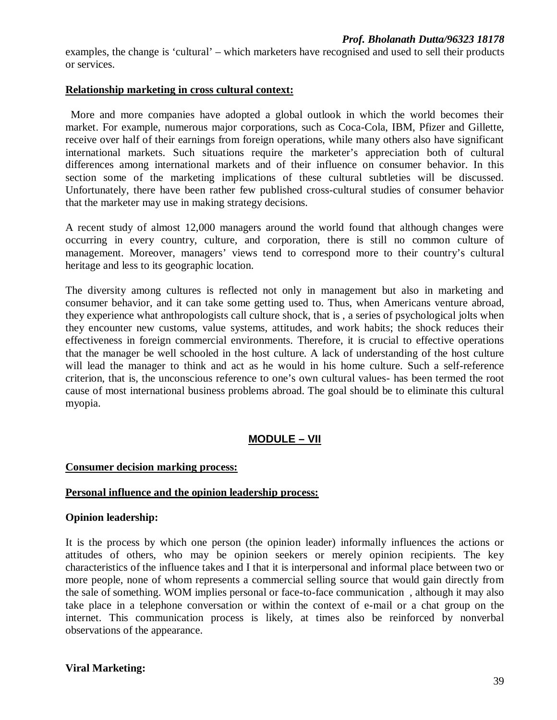examples, the change is 'cultural' – which marketers have recognised and used to sell their products or services.

### **Relationship marketing in cross cultural context:**

 More and more companies have adopted a global outlook in which the world becomes their market. For example, numerous major corporations, such as Coca-Cola, IBM, Pfizer and Gillette, receive over half of their earnings from foreign operations, while many others also have significant international markets. Such situations require the marketer's appreciation both of cultural differences among international markets and of their influence on consumer behavior. In this section some of the marketing implications of these cultural subtleties will be discussed. Unfortunately, there have been rather few published cross-cultural studies of consumer behavior that the marketer may use in making strategy decisions.

A recent study of almost 12,000 managers around the world found that although changes were occurring in every country, culture, and corporation, there is still no common culture of management. Moreover, managers' views tend to correspond more to their country's cultural heritage and less to its geographic location.

The diversity among cultures is reflected not only in management but also in marketing and consumer behavior, and it can take some getting used to. Thus, when Americans venture abroad, they experience what anthropologists call culture shock, that is , a series of psychological jolts when they encounter new customs, value systems, attitudes, and work habits; the shock reduces their effectiveness in foreign commercial environments. Therefore, it is crucial to effective operations that the manager be well schooled in the host culture. A lack of understanding of the host culture will lead the manager to think and act as he would in his home culture. Such a self-reference criterion, that is, the unconscious reference to one's own cultural values- has been termed the root cause of most international business problems abroad. The goal should be to eliminate this cultural myopia.

# **MODULE – VII**

### **Consumer decision marking process:**

### **Personal influence and the opinion leadership process:**

### **Opinion leadership:**

It is the process by which one person (the opinion leader) informally influences the actions or attitudes of others, who may be opinion seekers or merely opinion recipients. The key characteristics of the influence takes and I that it is interpersonal and informal place between two or more people, none of whom represents a commercial selling source that would gain directly from the sale of something. WOM implies personal or face-to-face communication , although it may also take place in a telephone conversation or within the context of e-mail or a chat group on the internet. This communication process is likely, at times also be reinforced by nonverbal observations of the appearance.

### **Viral Marketing:**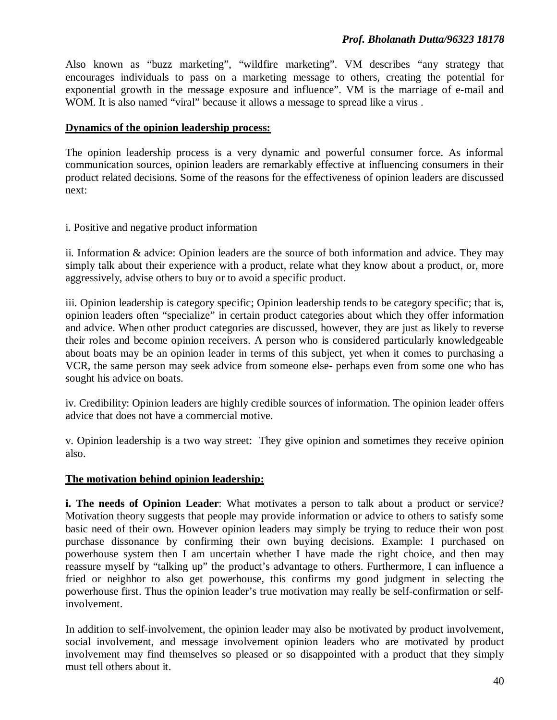Also known as "buzz marketing", "wildfire marketing". VM describes "any strategy that encourages individuals to pass on a marketing message to others, creating the potential for exponential growth in the message exposure and influence". VM is the marriage of e-mail and WOM. It is also named "viral" because it allows a message to spread like a virus.

### **Dynamics of the opinion leadership process:**

The opinion leadership process is a very dynamic and powerful consumer force. As informal communication sources, opinion leaders are remarkably effective at influencing consumers in their product related decisions. Some of the reasons for the effectiveness of opinion leaders are discussed next:

i. Positive and negative product information

ii. Information & advice: Opinion leaders are the source of both information and advice. They may simply talk about their experience with a product, relate what they know about a product, or, more aggressively, advise others to buy or to avoid a specific product.

iii. Opinion leadership is category specific; Opinion leadership tends to be category specific; that is, opinion leaders often "specialize" in certain product categories about which they offer information and advice. When other product categories are discussed, however, they are just as likely to reverse their roles and become opinion receivers. A person who is considered particularly knowledgeable about boats may be an opinion leader in terms of this subject, yet when it comes to purchasing a VCR, the same person may seek advice from someone else- perhaps even from some one who has sought his advice on boats.

iv. Credibility: Opinion leaders are highly credible sources of information. The opinion leader offers advice that does not have a commercial motive.

v. Opinion leadership is a two way street: They give opinion and sometimes they receive opinion also.

### **The motivation behind opinion leadership:**

**i. The needs of Opinion Leader**: What motivates a person to talk about a product or service? Motivation theory suggests that people may provide information or advice to others to satisfy some basic need of their own. However opinion leaders may simply be trying to reduce their won post purchase dissonance by confirming their own buying decisions. Example: I purchased on powerhouse system then I am uncertain whether I have made the right choice, and then may reassure myself by "talking up" the product's advantage to others. Furthermore, I can influence a fried or neighbor to also get powerhouse, this confirms my good judgment in selecting the powerhouse first. Thus the opinion leader's true motivation may really be self-confirmation or selfinvolvement.

In addition to self-involvement, the opinion leader may also be motivated by product involvement, social involvement, and message involvement opinion leaders who are motivated by product involvement may find themselves so pleased or so disappointed with a product that they simply must tell others about it.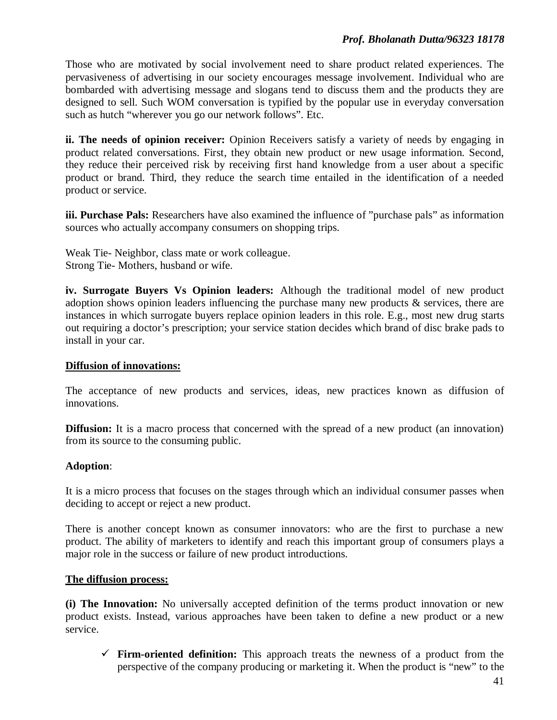Those who are motivated by social involvement need to share product related experiences. The pervasiveness of advertising in our society encourages message involvement. Individual who are bombarded with advertising message and slogans tend to discuss them and the products they are designed to sell. Such WOM conversation is typified by the popular use in everyday conversation such as hutch "wherever you go our network follows". Etc.

**ii. The needs of opinion receiver:** Opinion Receivers satisfy a variety of needs by engaging in product related conversations. First, they obtain new product or new usage information. Second, they reduce their perceived risk by receiving first hand knowledge from a user about a specific product or brand. Third, they reduce the search time entailed in the identification of a needed product or service.

**iii. Purchase Pals:** Researchers have also examined the influence of "purchase pals" as information sources who actually accompany consumers on shopping trips.

Weak Tie- Neighbor, class mate or work colleague. Strong Tie- Mothers, husband or wife.

**iv. Surrogate Buyers Vs Opinion leaders:** Although the traditional model of new product adoption shows opinion leaders influencing the purchase many new products & services, there are instances in which surrogate buyers replace opinion leaders in this role. E.g., most new drug starts out requiring a doctor's prescription; your service station decides which brand of disc brake pads to install in your car.

# **Diffusion of innovations:**

The acceptance of new products and services, ideas, new practices known as diffusion of innovations.

**Diffusion:** It is a macro process that concerned with the spread of a new product (an innovation) from its source to the consuming public.

# **Adoption**:

It is a micro process that focuses on the stages through which an individual consumer passes when deciding to accept or reject a new product.

There is another concept known as consumer innovators: who are the first to purchase a new product. The ability of marketers to identify and reach this important group of consumers plays a major role in the success or failure of new product introductions.

### **The diffusion process:**

**(i) The Innovation:** No universally accepted definition of the terms product innovation or new product exists. Instead, various approaches have been taken to define a new product or a new service.

 $\checkmark$  Firm-oriented definition: This approach treats the newness of a product from the perspective of the company producing or marketing it. When the product is "new" to the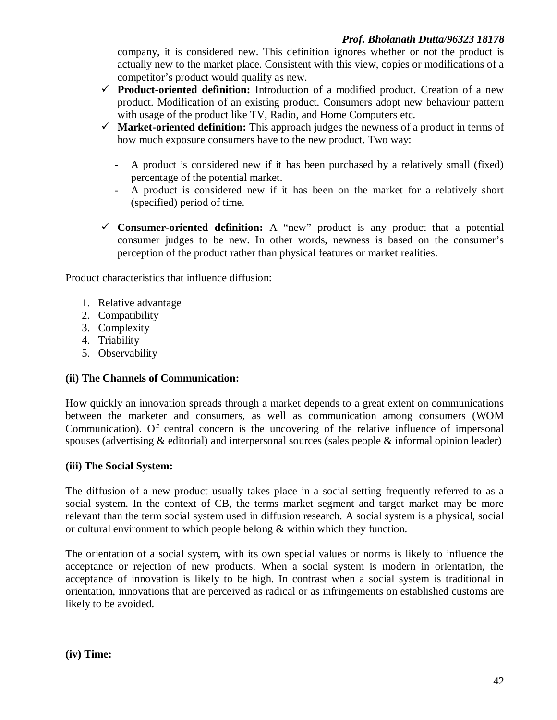company, it is considered new. This definition ignores whether or not the product is actually new to the market place. Consistent with this view, copies or modifications of a competitor's product would qualify as new.

- **Product-oriented definition:** Introduction of a modified product. Creation of a new product. Modification of an existing product. Consumers adopt new behaviour pattern with usage of the product like TV, Radio, and Home Computers etc.
- $\checkmark$  **Market-oriented definition:** This approach judges the newness of a product in terms of how much exposure consumers have to the new product. Two way:
	- A product is considered new if it has been purchased by a relatively small (fixed) percentage of the potential market.
	- A product is considered new if it has been on the market for a relatively short (specified) period of time.
- $\checkmark$  Consumer-oriented definition: A "new" product is any product that a potential consumer judges to be new. In other words, newness is based on the consumer's perception of the product rather than physical features or market realities.

Product characteristics that influence diffusion:

- 1. Relative advantage
- 2. Compatibility
- 3. Complexity
- 4. Triability
- 5. Observability

# **(ii) The Channels of Communication:**

How quickly an innovation spreads through a market depends to a great extent on communications between the marketer and consumers, as well as communication among consumers (WOM Communication). Of central concern is the uncovering of the relative influence of impersonal spouses (advertising & editorial) and interpersonal sources (sales people & informal opinion leader)

### **(iii) The Social System:**

The diffusion of a new product usually takes place in a social setting frequently referred to as a social system. In the context of CB, the terms market segment and target market may be more relevant than the term social system used in diffusion research. A social system is a physical, social or cultural environment to which people belong & within which they function.

The orientation of a social system, with its own special values or norms is likely to influence the acceptance or rejection of new products. When a social system is modern in orientation, the acceptance of innovation is likely to be high. In contrast when a social system is traditional in orientation, innovations that are perceived as radical or as infringements on established customs are likely to be avoided.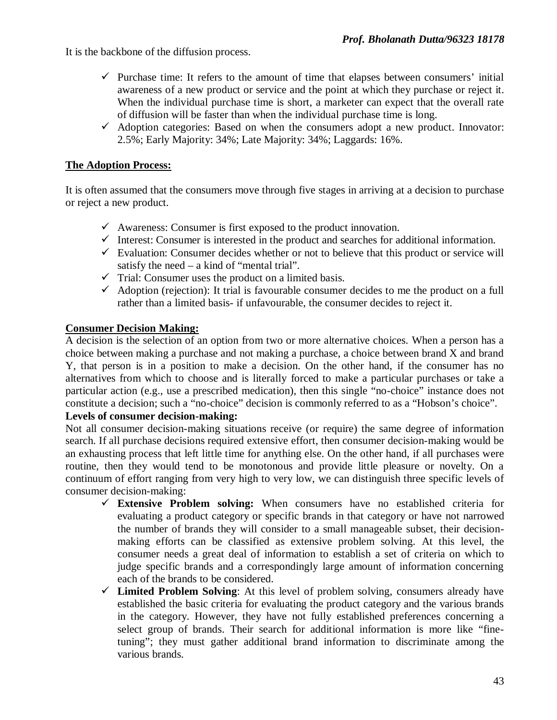It is the backbone of the diffusion process.

- $\checkmark$  Purchase time: It refers to the amount of time that elapses between consumers' initial awareness of a new product or service and the point at which they purchase or reject it. When the individual purchase time is short, a marketer can expect that the overall rate of diffusion will be faster than when the individual purchase time is long.
- $\checkmark$  Adoption categories: Based on when the consumers adopt a new product. Innovator: 2.5%; Early Majority: 34%; Late Majority: 34%; Laggards: 16%.

### **The Adoption Process:**

It is often assumed that the consumers move through five stages in arriving at a decision to purchase or reject a new product.

- $\checkmark$  Awareness: Consumer is first exposed to the product innovation.
- $\checkmark$  Interest: Consumer is interested in the product and searches for additional information.
- $\checkmark$  Evaluation: Consumer decides whether or not to believe that this product or service will satisfy the need – a kind of "mental trial".
- $\checkmark$  Trial: Consumer uses the product on a limited basis.
- $\checkmark$  Adoption (rejection): It trial is favourable consumer decides to me the product on a full rather than a limited basis- if unfavourable, the consumer decides to reject it.

## **Consumer Decision Making:**

A decision is the selection of an option from two or more alternative choices. When a person has a choice between making a purchase and not making a purchase, a choice between brand X and brand Y, that person is in a position to make a decision. On the other hand, if the consumer has no alternatives from which to choose and is literally forced to make a particular purchases or take a particular action (e.g., use a prescribed medication), then this single "no-choice" instance does not constitute a decision; such a "no-choice" decision is commonly referred to as a "Hobson's choice".

# **Levels of consumer decision-making:**

Not all consumer decision-making situations receive (or require) the same degree of information search. If all purchase decisions required extensive effort, then consumer decision-making would be an exhausting process that left little time for anything else. On the other hand, if all purchases were routine, then they would tend to be monotonous and provide little pleasure or novelty. On a continuum of effort ranging from very high to very low, we can distinguish three specific levels of consumer decision-making:

- **Extensive Problem solving:** When consumers have no established criteria for evaluating a product category or specific brands in that category or have not narrowed the number of brands they will consider to a small manageable subset, their decisionmaking efforts can be classified as extensive problem solving. At this level, the consumer needs a great deal of information to establish a set of criteria on which to judge specific brands and a correspondingly large amount of information concerning each of the brands to be considered.
- $\checkmark$  Limited Problem Solving: At this level of problem solving, consumers already have established the basic criteria for evaluating the product category and the various brands in the category. However, they have not fully established preferences concerning a select group of brands. Their search for additional information is more like "finetuning"; they must gather additional brand information to discriminate among the various brands.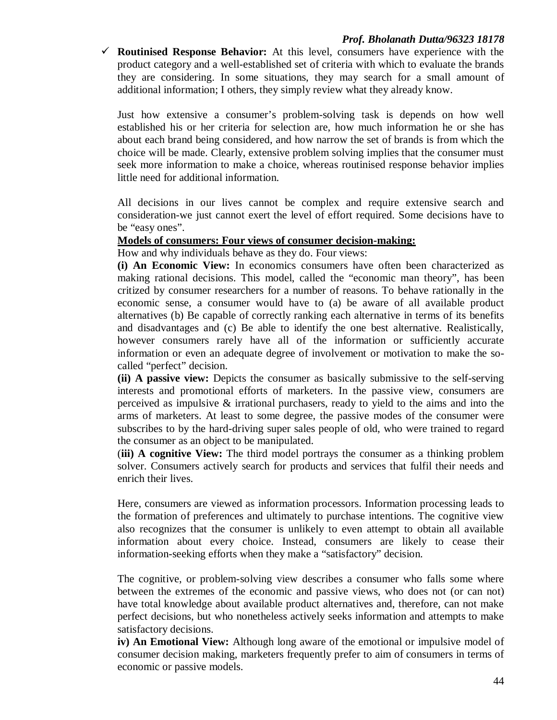### *Prof. Bholanath Dutta/96323 18178*

 **Routinised Response Behavior:** At this level, consumers have experience with the product category and a well-established set of criteria with which to evaluate the brands they are considering. In some situations, they may search for a small amount of additional information; I others, they simply review what they already know.

Just how extensive a consumer's problem-solving task is depends on how well established his or her criteria for selection are, how much information he or she has about each brand being considered, and how narrow the set of brands is from which the choice will be made. Clearly, extensive problem solving implies that the consumer must seek more information to make a choice, whereas routinised response behavior implies little need for additional information.

All decisions in our lives cannot be complex and require extensive search and consideration-we just cannot exert the level of effort required. Some decisions have to be "easy ones".

### **Models of consumers: Four views of consumer decision-making:**

How and why individuals behave as they do. Four views:

**(i) An Economic View:** In economics consumers have often been characterized as making rational decisions. This model, called the "economic man theory", has been critized by consumer researchers for a number of reasons. To behave rationally in the economic sense, a consumer would have to (a) be aware of all available product alternatives (b) Be capable of correctly ranking each alternative in terms of its benefits and disadvantages and (c) Be able to identify the one best alternative. Realistically, however consumers rarely have all of the information or sufficiently accurate information or even an adequate degree of involvement or motivation to make the socalled "perfect" decision.

**(ii) A passive view:** Depicts the consumer as basically submissive to the self-serving interests and promotional efforts of marketers. In the passive view, consumers are perceived as impulsive & irrational purchasers, ready to yield to the aims and into the arms of marketers. At least to some degree, the passive modes of the consumer were subscribes to by the hard-driving super sales people of old, who were trained to regard the consumer as an object to be manipulated.

(**iii) A cognitive View:** The third model portrays the consumer as a thinking problem solver. Consumers actively search for products and services that fulfil their needs and enrich their lives.

Here, consumers are viewed as information processors. Information processing leads to the formation of preferences and ultimately to purchase intentions. The cognitive view also recognizes that the consumer is unlikely to even attempt to obtain all available information about every choice. Instead, consumers are likely to cease their information-seeking efforts when they make a "satisfactory" decision.

The cognitive, or problem-solving view describes a consumer who falls some where between the extremes of the economic and passive views, who does not (or can not) have total knowledge about available product alternatives and, therefore, can not make perfect decisions, but who nonetheless actively seeks information and attempts to make satisfactory decisions.

**iv) An Emotional View:** Although long aware of the emotional or impulsive model of consumer decision making, marketers frequently prefer to aim of consumers in terms of economic or passive models.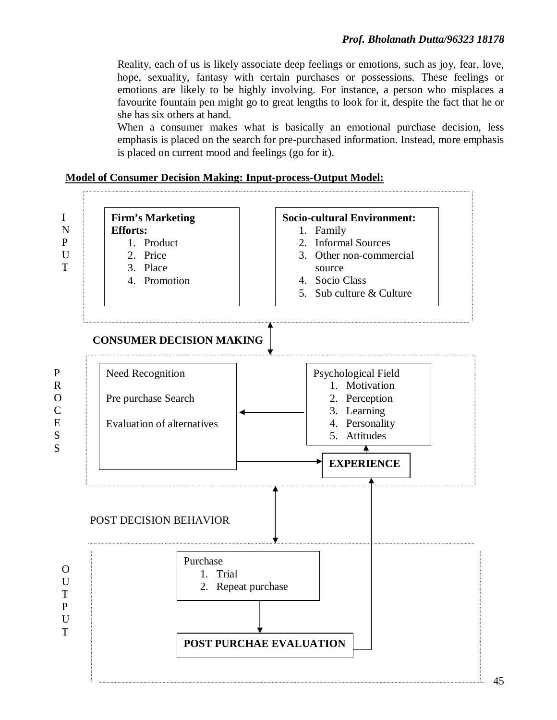Reality, each of us is likely associate deep feelings or emotions, such as joy, fear, love, hope, sexuality, fantasy with certain purchases or possessions. These feelings or emotions are likely to be highly involving. For instance, a person who misplaces a favourite fountain pen might go to great lengths to look for it, despite the fact that he or she has six others at hand.

When a consumer makes what is basically an emotional purchase decision, less emphasis is placed on the search for pre-purchased information. Instead, more emphasis is placed on current mood and feelings (go for it).

### **Model of Consumer Decision Making: Input-process-Output Model:**



45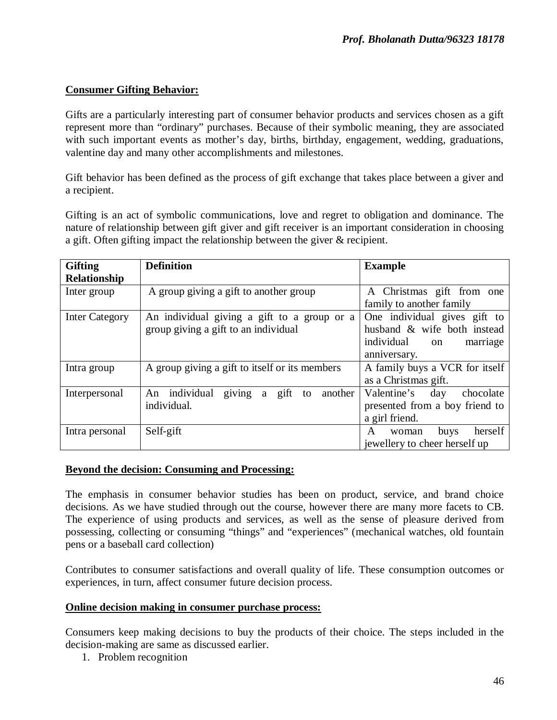# **Consumer Gifting Behavior:**

Gifts are a particularly interesting part of consumer behavior products and services chosen as a gift represent more than "ordinary" purchases. Because of their symbolic meaning, they are associated with such important events as mother's day, births, birthday, engagement, wedding, graduations, valentine day and many other accomplishments and milestones.

Gift behavior has been defined as the process of gift exchange that takes place between a giver and a recipient.

Gifting is an act of symbolic communications, love and regret to obligation and dominance. The nature of relationship between gift giver and gift receiver is an important consideration in choosing a gift. Often gifting impact the relationship between the giver & recipient.

| <b>Gifting</b>        | <b>Definition</b>                                     | <b>Example</b>                  |
|-----------------------|-------------------------------------------------------|---------------------------------|
| <b>Relationship</b>   |                                                       |                                 |
| Inter group           | A group giving a gift to another group                | A Christmas gift from one       |
|                       |                                                       | family to another family        |
| <b>Inter Category</b> | An individual giving a gift to a group or a           | One individual gives gift to    |
|                       | group giving a gift to an individual                  | husband & wife both instead     |
|                       |                                                       | individual<br>marriage<br>on    |
|                       |                                                       | anniversary.                    |
| Intra group           | A group giving a gift to itself or its members        | A family buys a VCR for itself  |
|                       |                                                       | as a Christmas gift.            |
| Interpersonal         | An individual<br>giving<br>gift<br>another<br>to<br>a | Valentine's<br>day<br>chocolate |
|                       | individual.                                           | presented from a boy friend to  |
|                       |                                                       | a girl friend.                  |
| Intra personal        | Self-gift                                             | herself<br>A<br>buys<br>woman   |
|                       |                                                       | jewellery to cheer herself up   |

# **Beyond the decision: Consuming and Processing:**

The emphasis in consumer behavior studies has been on product, service, and brand choice decisions. As we have studied through out the course, however there are many more facets to CB. The experience of using products and services, as well as the sense of pleasure derived from possessing, collecting or consuming "things" and "experiences" (mechanical watches, old fountain pens or a baseball card collection)

Contributes to consumer satisfactions and overall quality of life. These consumption outcomes or experiences, in turn, affect consumer future decision process.

### **Online decision making in consumer purchase process:**

Consumers keep making decisions to buy the products of their choice. The steps included in the decision-making are same as discussed earlier.

1. Problem recognition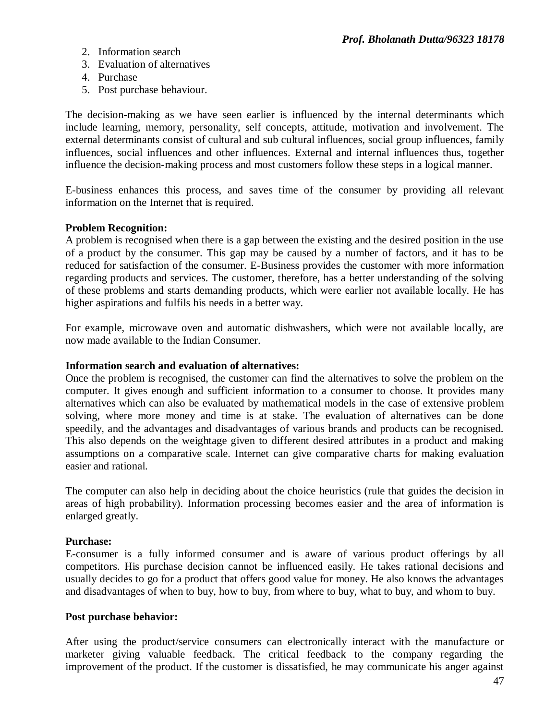- 2. Information search
- 3. Evaluation of alternatives
- 4. Purchase
- 5. Post purchase behaviour.

The decision-making as we have seen earlier is influenced by the internal determinants which include learning, memory, personality, self concepts, attitude, motivation and involvement. The external determinants consist of cultural and sub cultural influences, social group influences, family influences, social influences and other influences. External and internal influences thus, together influence the decision-making process and most customers follow these steps in a logical manner.

E-business enhances this process, and saves time of the consumer by providing all relevant information on the Internet that is required.

### **Problem Recognition:**

A problem is recognised when there is a gap between the existing and the desired position in the use of a product by the consumer. This gap may be caused by a number of factors, and it has to be reduced for satisfaction of the consumer. E-Business provides the customer with more information regarding products and services. The customer, therefore, has a better understanding of the solving of these problems and starts demanding products, which were earlier not available locally. He has higher aspirations and fulfils his needs in a better way.

For example, microwave oven and automatic dishwashers, which were not available locally, are now made available to the Indian Consumer.

### **Information search and evaluation of alternatives:**

Once the problem is recognised, the customer can find the alternatives to solve the problem on the computer. It gives enough and sufficient information to a consumer to choose. It provides many alternatives which can also be evaluated by mathematical models in the case of extensive problem solving, where more money and time is at stake. The evaluation of alternatives can be done speedily, and the advantages and disadvantages of various brands and products can be recognised. This also depends on the weightage given to different desired attributes in a product and making assumptions on a comparative scale. Internet can give comparative charts for making evaluation easier and rational.

The computer can also help in deciding about the choice heuristics (rule that guides the decision in areas of high probability). Information processing becomes easier and the area of information is enlarged greatly.

### **Purchase:**

E-consumer is a fully informed consumer and is aware of various product offerings by all competitors. His purchase decision cannot be influenced easily. He takes rational decisions and usually decides to go for a product that offers good value for money. He also knows the advantages and disadvantages of when to buy, how to buy, from where to buy, what to buy, and whom to buy.

### **Post purchase behavior:**

After using the product/service consumers can electronically interact with the manufacture or marketer giving valuable feedback. The critical feedback to the company regarding the improvement of the product. If the customer is dissatisfied, he may communicate his anger against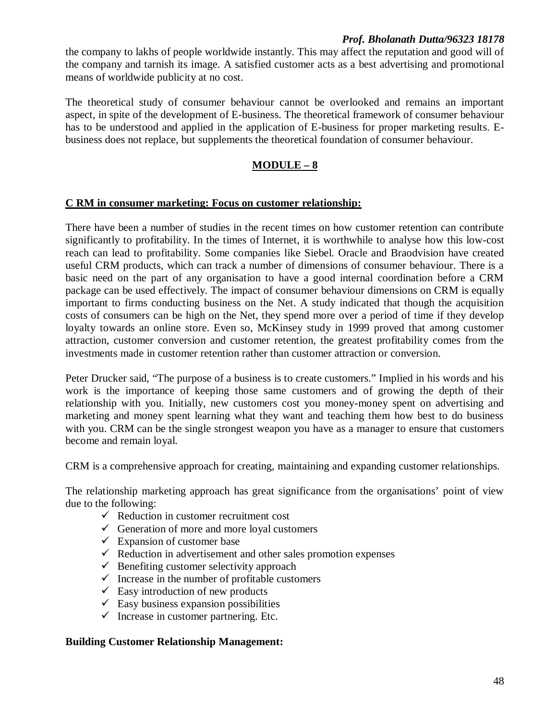# *Prof. Bholanath Dutta/96323 18178*

the company to lakhs of people worldwide instantly. This may affect the reputation and good will of the company and tarnish its image. A satisfied customer acts as a best advertising and promotional means of worldwide publicity at no cost.

The theoretical study of consumer behaviour cannot be overlooked and remains an important aspect, in spite of the development of E-business. The theoretical framework of consumer behaviour has to be understood and applied in the application of E-business for proper marketing results. Ebusiness does not replace, but supplements the theoretical foundation of consumer behaviour.

# **MODULE – 8**

### **C RM in consumer marketing: Focus on customer relationship:**

There have been a number of studies in the recent times on how customer retention can contribute significantly to profitability. In the times of Internet, it is worthwhile to analyse how this low-cost reach can lead to profitability. Some companies like Siebel. Oracle and Braodvision have created useful CRM products, which can track a number of dimensions of consumer behaviour. There is a basic need on the part of any organisation to have a good internal coordination before a CRM package can be used effectively. The impact of consumer behaviour dimensions on CRM is equally important to firms conducting business on the Net. A study indicated that though the acquisition costs of consumers can be high on the Net, they spend more over a period of time if they develop loyalty towards an online store. Even so, McKinsey study in 1999 proved that among customer attraction, customer conversion and customer retention, the greatest profitability comes from the investments made in customer retention rather than customer attraction or conversion.

Peter Drucker said, "The purpose of a business is to create customers." Implied in his words and his work is the importance of keeping those same customers and of growing the depth of their relationship with you. Initially, new customers cost you money-money spent on advertising and marketing and money spent learning what they want and teaching them how best to do business with you. CRM can be the single strongest weapon you have as a manager to ensure that customers become and remain loyal.

CRM is a comprehensive approach for creating, maintaining and expanding customer relationships.

The relationship marketing approach has great significance from the organisations' point of view due to the following:

- $\checkmark$  Reduction in customer recruitment cost
- $\checkmark$  Generation of more and more loyal customers
- $\checkmark$  Expansion of customer base
- $\checkmark$  Reduction in advertisement and other sales promotion expenses
- $\checkmark$  Benefiting customer selectivity approach
- $\checkmark$  Increase in the number of profitable customers
- $\checkmark$  Easy introduction of new products
- $\checkmark$  Easy business expansion possibilities
- $\checkmark$  Increase in customer partnering. Etc.

### **Building Customer Relationship Management:**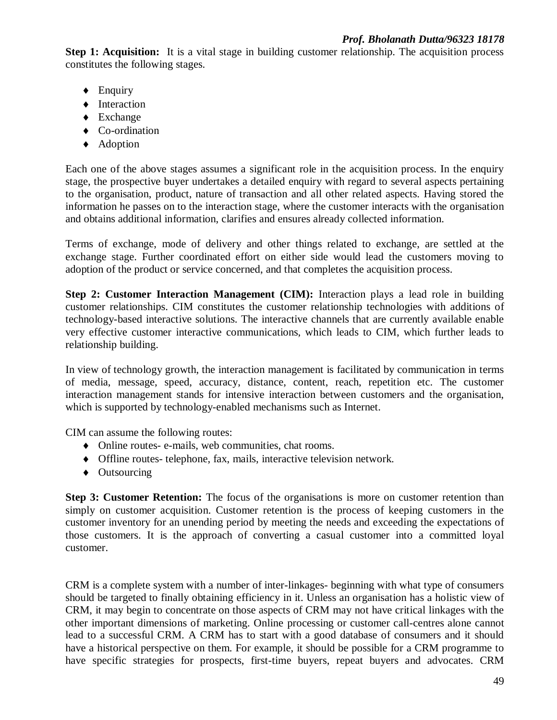**Step 1: Acquisition:** It is a vital stage in building customer relationship. The acquisition process constitutes the following stages.

- $\triangleleft$  Enquiry
- Interaction
- ◆ Exchange
- ◆ Co-ordination
- ◆ Adoption

Each one of the above stages assumes a significant role in the acquisition process. In the enquiry stage, the prospective buyer undertakes a detailed enquiry with regard to several aspects pertaining to the organisation, product, nature of transaction and all other related aspects. Having stored the information he passes on to the interaction stage, where the customer interacts with the organisation and obtains additional information, clarifies and ensures already collected information.

Terms of exchange, mode of delivery and other things related to exchange, are settled at the exchange stage. Further coordinated effort on either side would lead the customers moving to adoption of the product or service concerned, and that completes the acquisition process.

**Step 2: Customer Interaction Management (CIM):** Interaction plays a lead role in building customer relationships. CIM constitutes the customer relationship technologies with additions of technology-based interactive solutions. The interactive channels that are currently available enable very effective customer interactive communications, which leads to CIM, which further leads to relationship building.

In view of technology growth, the interaction management is facilitated by communication in terms of media, message, speed, accuracy, distance, content, reach, repetition etc. The customer interaction management stands for intensive interaction between customers and the organisation, which is supported by technology-enabled mechanisms such as Internet.

CIM can assume the following routes:

- Online routes- e-mails, web communities, chat rooms.
- Offline routes- telephone, fax, mails, interactive television network.
- Outsourcing

**Step 3: Customer Retention:** The focus of the organisations is more on customer retention than simply on customer acquisition. Customer retention is the process of keeping customers in the customer inventory for an unending period by meeting the needs and exceeding the expectations of those customers. It is the approach of converting a casual customer into a committed loyal customer.

CRM is a complete system with a number of inter-linkages- beginning with what type of consumers should be targeted to finally obtaining efficiency in it. Unless an organisation has a holistic view of CRM, it may begin to concentrate on those aspects of CRM may not have critical linkages with the other important dimensions of marketing. Online processing or customer call-centres alone cannot lead to a successful CRM. A CRM has to start with a good database of consumers and it should have a historical perspective on them. For example, it should be possible for a CRM programme to have specific strategies for prospects, first-time buyers, repeat buyers and advocates. CRM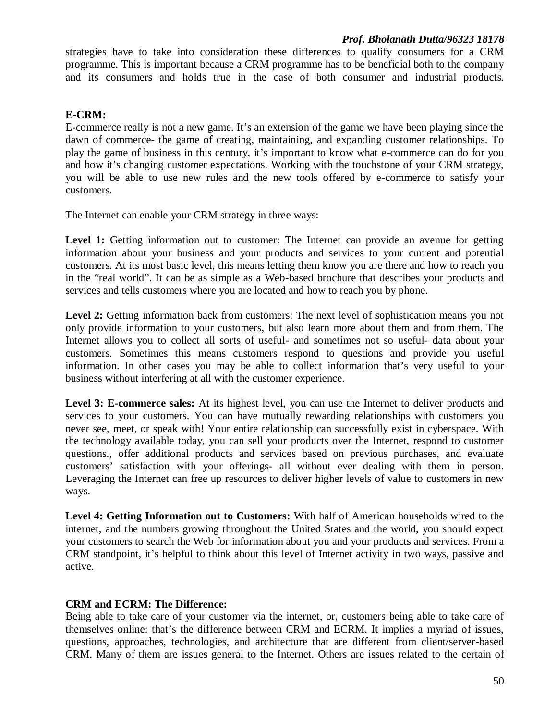### *Prof. Bholanath Dutta/96323 18178*

strategies have to take into consideration these differences to qualify consumers for a CRM programme. This is important because a CRM programme has to be beneficial both to the company and its consumers and holds true in the case of both consumer and industrial products.

# **E-CRM:**

E-commerce really is not a new game. It's an extension of the game we have been playing since the dawn of commerce- the game of creating, maintaining, and expanding customer relationships. To play the game of business in this century, it's important to know what e-commerce can do for you and how it's changing customer expectations. Working with the touchstone of your CRM strategy, you will be able to use new rules and the new tools offered by e-commerce to satisfy your customers.

The Internet can enable your CRM strategy in three ways:

Level 1: Getting information out to customer: The Internet can provide an avenue for getting information about your business and your products and services to your current and potential customers. At its most basic level, this means letting them know you are there and how to reach you in the "real world". It can be as simple as a Web-based brochure that describes your products and services and tells customers where you are located and how to reach you by phone.

Level 2: Getting information back from customers: The next level of sophistication means you not only provide information to your customers, but also learn more about them and from them. The Internet allows you to collect all sorts of useful- and sometimes not so useful- data about your customers. Sometimes this means customers respond to questions and provide you useful information. In other cases you may be able to collect information that's very useful to your business without interfering at all with the customer experience.

Level 3: E-commerce sales: At its highest level, you can use the Internet to deliver products and services to your customers. You can have mutually rewarding relationships with customers you never see, meet, or speak with! Your entire relationship can successfully exist in cyberspace. With the technology available today, you can sell your products over the Internet, respond to customer questions., offer additional products and services based on previous purchases, and evaluate customers' satisfaction with your offerings- all without ever dealing with them in person. Leveraging the Internet can free up resources to deliver higher levels of value to customers in new ways.

**Level 4: Getting Information out to Customers:** With half of American households wired to the internet, and the numbers growing throughout the United States and the world, you should expect your customers to search the Web for information about you and your products and services. From a CRM standpoint, it's helpful to think about this level of Internet activity in two ways, passive and active.

# **CRM and ECRM: The Difference:**

Being able to take care of your customer via the internet, or, customers being able to take care of themselves online: that's the difference between CRM and ECRM. It implies a myriad of issues, questions, approaches, technologies, and architecture that are different from client/server-based CRM. Many of them are issues general to the Internet. Others are issues related to the certain of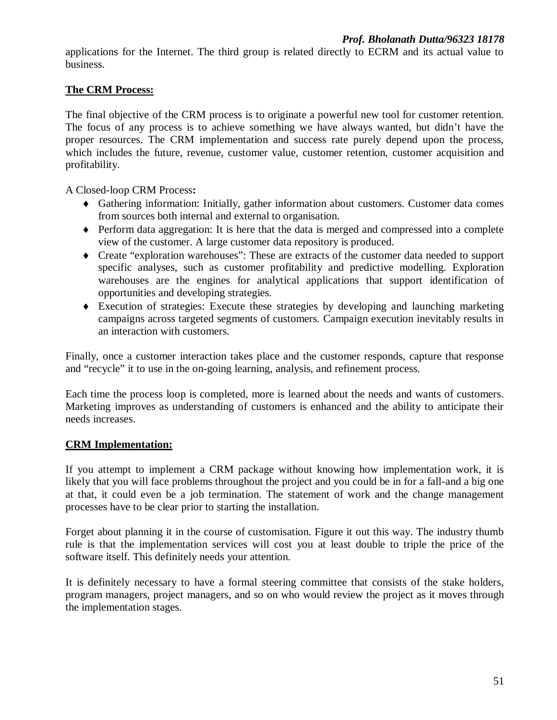applications for the Internet. The third group is related directly to ECRM and its actual value to business.

# **The CRM Process:**

The final objective of the CRM process is to originate a powerful new tool for customer retention. The focus of any process is to achieve something we have always wanted, but didn't have the proper resources. The CRM implementation and success rate purely depend upon the process, which includes the future, revenue, customer value, customer retention, customer acquisition and profitability.

A Closed-loop CRM Process**:**

- Gathering information: Initially, gather information about customers. Customer data comes from sources both internal and external to organisation.
- Perform data aggregation: It is here that the data is merged and compressed into a complete view of the customer. A large customer data repository is produced.
- Create "exploration warehouses": These are extracts of the customer data needed to support specific analyses, such as customer profitability and predictive modelling. Exploration warehouses are the engines for analytical applications that support identification of opportunities and developing strategies.
- Execution of strategies: Execute these strategies by developing and launching marketing campaigns across targeted segments of customers. Campaign execution inevitably results in an interaction with customers.

Finally, once a customer interaction takes place and the customer responds, capture that response and "recycle" it to use in the on-going learning, analysis, and refinement process.

Each time the process loop is completed, more is learned about the needs and wants of customers. Marketing improves as understanding of customers is enhanced and the ability to anticipate their needs increases.

# **CRM Implementation:**

If you attempt to implement a CRM package without knowing how implementation work, it is likely that you will face problems throughout the project and you could be in for a fall-and a big one at that, it could even be a job termination. The statement of work and the change management processes have to be clear prior to starting the installation.

Forget about planning it in the course of customisation. Figure it out this way. The industry thumb rule is that the implementation services will cost you at least double to triple the price of the software itself. This definitely needs your attention.

It is definitely necessary to have a formal steering committee that consists of the stake holders, program managers, project managers, and so on who would review the project as it moves through the implementation stages.